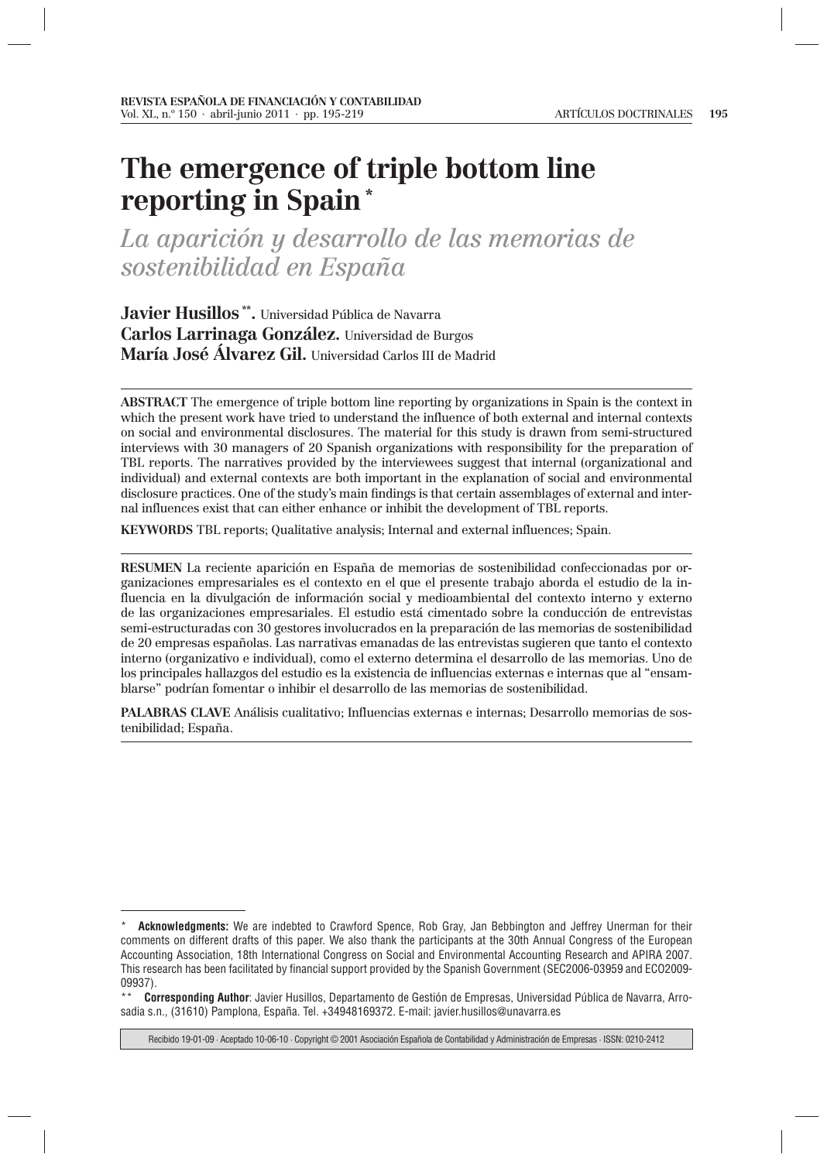# **The emergence of triple bottom line reporting in Spain \***

*La aparición y desarrollo de las memorias de sostenibilidad en España*

**Javier Husillos \*\*.** Universidad Pública de Navarra **Carlos Larrinaga González.** Universidad de Burgos **María José Álvarez Gil.** Universidad Carlos III de Madrid

**ABSTRACT** The emergence of triple bottom line reporting by organizations in Spain is the context in which the present work have tried to understand the influence of both external and internal contexts on social and environmental disclosures. The material for this study is drawn from semi-structured interviews with 30 managers of 20 Spanish organizations with responsibility for the preparation of TBL reports. The narratives provided by the interviewees suggest that internal (organizational and individual) and external contexts are both important in the explanation of social and environmental disclosure practices. One of the study's main findings is that certain assemblages of external and internal influences exist that can either enhance or inhibit the development of TBL reports.

**KEYWORDS** TBL reports; Qualitative analysis; Internal and external influences; Spain.

**RESUMEN** La reciente aparición en España de memorias de sostenibilidad confeccionadas por organizaciones empresariales es el contexto en el que el presente trabajo aborda el estudio de la influencia en la divulgación de información social y medioambiental del contexto interno y externo de las organizaciones empresariales. El estudio está cimentado sobre la conducción de entrevistas semi-estructuradas con 30 gestores involucrados en la preparación de las memorias de sostenibilidad de 20 empresas españolas. Las narrativas emanadas de las entrevistas sugieren que tanto el contexto interno (organizativo e individual), como el externo determina el desarrollo de las memorias. Uno de los principales hallazgos del estudio es la existencia de influencias externas e internas que al "ensamblarse" podrían fomentar o inhibir el desarrollo de las memorias de sostenibilidad.

**PALABRAS CLAVE** Análisis cualitativo: Influencias externas e internas; Desarrollo memorias de sostenibilidad; España.

Recibido 19-01-09 · Aceptado 10-06-10 · Copyright © 2001 Asociación Española de Contabilidad y Administración de Empresas · ISSN: 0210-2412

Acknowledgments: We are indebted to Crawford Spence, Rob Gray, Jan Bebbington and Jeffrey Unerman for their comments on different drafts of this paper. We also thank the participants at the 30th Annual Congress of the European Accounting Association, 18th International Congress on Social and Environmental Accounting Research and APIRA 2007. This research has been facilitated by financial support provided by the Spanish Government (SEC2006-03959 and ECO2009-09937).

<sup>\*\*</sup> **Corresponding Author**: Javier Husillos, Departamento de Gestión de Empresas, Universidad Pública de Navarra, Arrosadia s.n., (31610) Pamplona, España. Tel. +34948169372. E-mail: javier.husillos@unavarra.es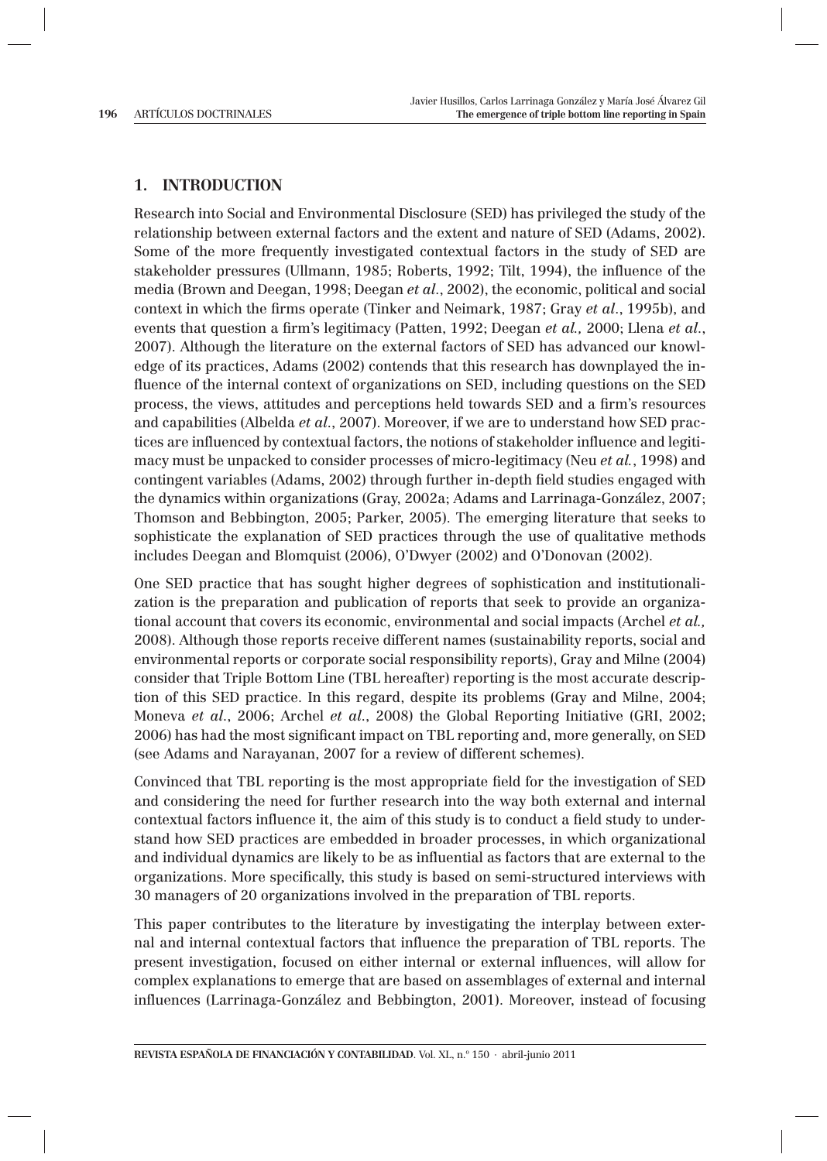# **1. INTRODUCTION**

Research into Social and Environmental Disclosure (SED) has privileged the study of the relationship between external factors and the extent and nature of SED (Adams, 2002). Some of the more frequently investigated contextual factors in the study of SED are stakeholder pressures (Ullmann, 1985; Roberts, 1992; Tilt, 1994), the influence of the media (Brown and Deegan, 1998; Deegan *et al*., 2002), the economic, political and social context in which the firms operate (Tinker and Neimark, 1987; Gray *et al.*, 1995b), and events that question a firm's legitimacy (Patten, 1992; Deegan *et al.*, 2000; Llena *et al.*, 2007). Although the literature on the external factors of SED has advanced our knowledge of its practices, Adams (2002) contends that this research has downplayed the influence of the internal context of organizations on SED, including questions on the SED process, the views, attitudes and perceptions held towards SED and a firm's resources and capabilities (Albelda *et al*., 2007). Moreover, if we are to understand how SED practices are influenced by contextual factors, the notions of stakeholder influence and legitimacy must be unpacked to consider processes of micro-legitimacy (Neu *et al.*, 1998) and contingent variables (Adams, 2002) through further in-depth field studies engaged with the dynamics within organizations (Gray, 2002a; Adams and Larrinaga-González, 2007; Thomson and Bebbington, 2005; Parker, 2005). The emerging literature that seeks to sophisticate the explanation of SED practices through the use of qualitative methods includes Deegan and Blomquist (2006), O'Dwyer (2002) and O'Donovan (2002).

One SED practice that has sought higher degrees of sophistication and institutionalization is the preparation and publication of reports that seek to provide an organizational account that covers its economic, environmental and social impacts (Archel *et al.,* 2008). Although those reports receive different names (sustainability reports, social and environmental reports or corporate social responsibility reports), Gray and Milne (2004) consider that Triple Bottom Line (TBL hereafter) reporting is the most accurate description of this SED practice. In this regard, despite its problems (Gray and Milne, 2004; Moneva *et al*., 2006; Archel *et al*., 2008) the Global Reporting Initiative (GRI, 2002; 2006) has had the most significant impact on TBL reporting and, more generally, on SED (see Adams and Narayanan, 2007 for a review of different schemes).

Convinced that TBL reporting is the most appropriate field for the investigation of SED and considering the need for further research into the way both external and internal contextual factors influence it, the aim of this study is to conduct a field study to understand how SED practices are embedded in broader processes, in which organizational and individual dynamics are likely to be as influential as factors that are external to the organizations. More specifically, this study is based on semi-structured interviews with 30 managers of 20 organizations involved in the preparation of TBL reports.

This paper contributes to the literature by investigating the interplay between external and internal contextual factors that influence the preparation of TBL reports. The present investigation, focused on either internal or external influences, will allow for complex explanations to emerge that are based on assemblages of external and internal influences (Larrinaga-González and Bebbington, 2001). Moreover, instead of focusing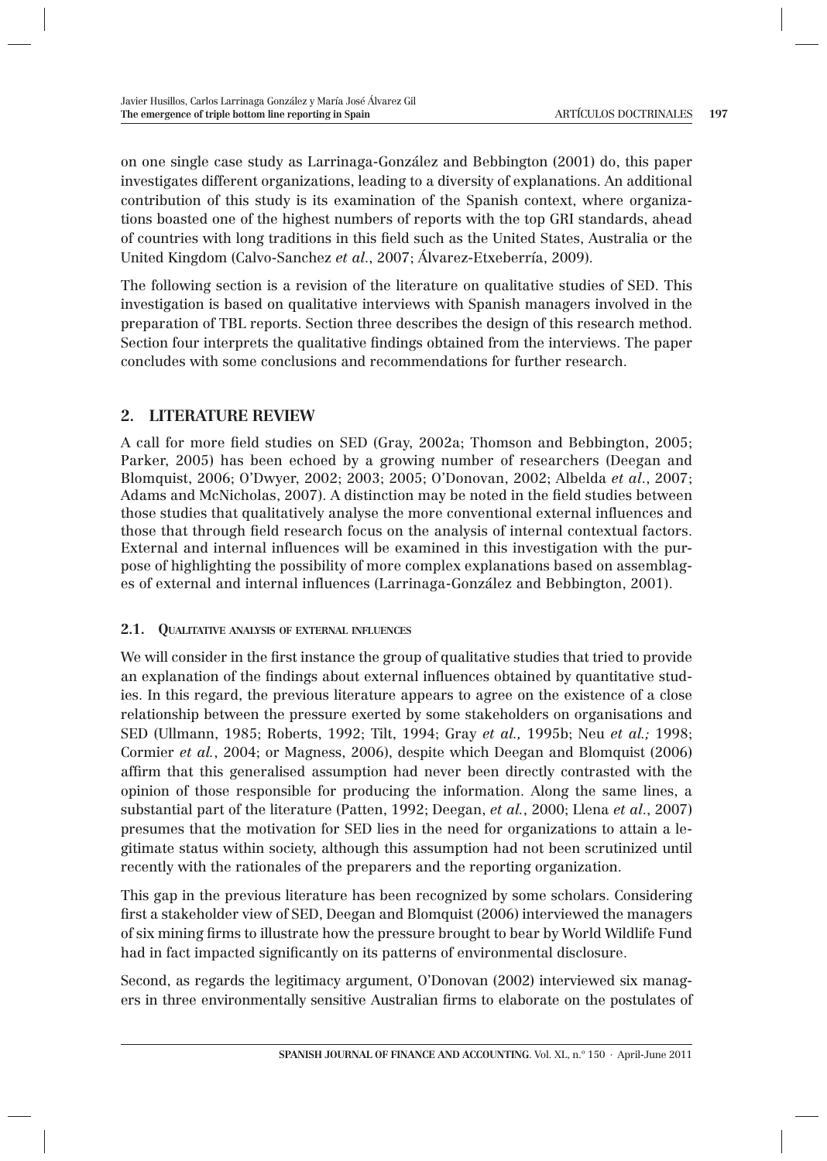on one single case study as Larrinaga-González and Bebbington (2001) do, this paper investigates different organizations, leading to a diversity of explanations. An additional contribution of this study is its examination of the Spanish context, where organizations boasted one of the highest numbers of reports with the top GRI standards, ahead of countries with long traditions in this field such as the United States, Australia or the United Kingdom (Calvo-Sanchez *et al*., 2007; Álvarez-Etxeberría, 2009).

The following section is a revision of the literature on qualitative studies of SED. This investigation is based on qualitative interviews with Spanish managers involved in the preparation of TBL reports. Section three describes the design of this research method. Section four interprets the qualitative findings obtained from the interviews. The paper concludes with some conclusions and recommendations for further research.

# **2. LITERATURE REVIEW**

A call for more field studies on SED (Gray, 2002a; Thomson and Bebbington, 2005; Parker, 2005) has been echoed by a growing number of researchers (Deegan and Blomquist, 2006; O'Dwyer, 2002; 2003; 2005; O'Donovan, 2002; Albelda *et al*., 2007; Adams and McNicholas, 2007). A distinction may be noted in the field studies between those studies that qualitatively analyse the more conventional external influences and those that through field research focus on the analysis of internal contextual factors. External and internal influences will be examined in this investigation with the purpose of highlighting the possibility of more complex explanations based on assemblages of external and internal influences (Larrinaga-González and Bebbington, 2001).

## **2.1. QUALITATIVE ANALYSIS OF EXTERNAL INFLUENCES**

We will consider in the first instance the group of qualitative studies that tried to provide an explanation of the findings about external influences obtained by quantitative studies. In this regard, the previous literature appears to agree on the existence of a close relationship between the pressure exerted by some stakeholders on organisations and SED (Ullmann, 1985; Roberts, 1992; Tilt, 1994; Gray *et al.,* 1995b; Neu *et al.;* 1998; Cormier *et al.*, 2004; or Magness, 2006), despite which Deegan and Blomquist (2006) affirm that this generalised assumption had never been directly contrasted with the opinion of those responsible for producing the information. Along the same lines, a substantial part of the literature (Patten, 1992; Deegan, *et al.*, 2000; Llena *et al*., 2007) presumes that the motivation for SED lies in the need for organizations to attain a legitimate status within society, although this assumption had not been scrutinized until recently with the rationales of the preparers and the reporting organization.

This gap in the previous literature has been recognized by some scholars. Considering first a stakeholder view of SED, Deegan and Blomquist (2006) interviewed the managers of six mining firms to illustrate how the pressure brought to bear by World Wildlife Fund had in fact impacted significantly on its patterns of environmental disclosure.

Second, as regards the legitimacy argument, O'Donovan (2002) interviewed six managers in three environmentally sensitive Australian firms to elaborate on the postulates of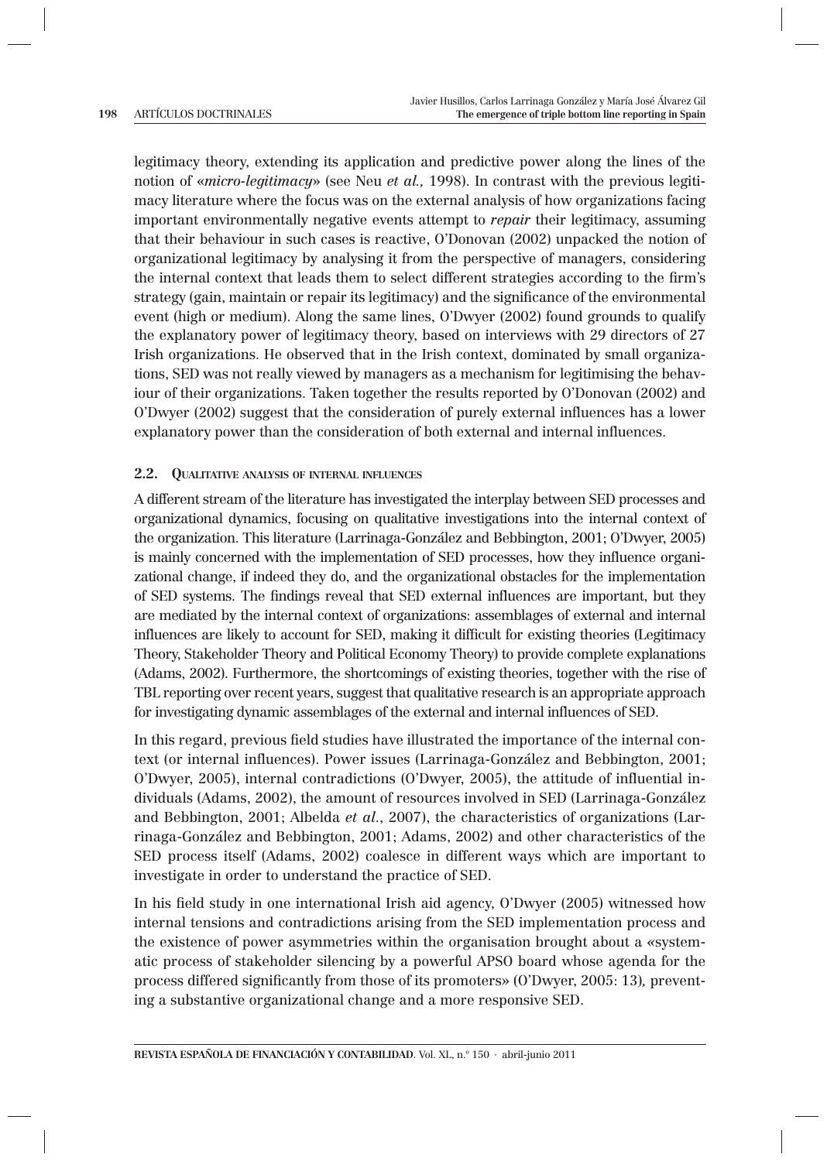legitimacy theory, extending its application and predictive power along the lines of the notion of «*micro-legitimacy*» (see Neu *et al.,* 1998). In contrast with the previous legitimacy literature where the focus was on the external analysis of how organizations facing important environmentally negative events attempt to *repair* their legitimacy, assuming that their behaviour in such cases is reactive, O'Donovan (2002) unpacked the notion of organizational legitimacy by analysing it from the perspective of managers, considering the internal context that leads them to select different strategies according to the firm's strategy (gain, maintain or repair its legitimacy) and the significance of the environmental event (high or medium). Along the same lines, O'Dwyer (2002) found grounds to qualify the explanatory power of legitimacy theory, based on interviews with 29 directors of 27 Irish organizations. He observed that in the Irish context, dominated by small organizations, SED was not really viewed by managers as a mechanism for legitimising the behaviour of their organizations. Taken together the results reported by O'Donovan (2002) and O'Dwyer (2002) suggest that the consideration of purely external influences has a lower explanatory power than the consideration of both external and internal influences.

#### **2.2. QUALITATIVE ANALYSIS OF INTERNAL INFLUENCES**

A different stream of the literature has investigated the interplay between SED processes and organizational dynamics, focusing on qualitative investigations into the internal context of the organization. This literature (Larrinaga-González and Bebbington, 2001; O'Dwyer, 2005) is mainly concerned with the implementation of SED processes, how they influence organizational change, if indeed they do, and the organizational obstacles for the implementation of SED systems. The findings reveal that SED external influences are important, but they are mediated by the internal context of organizations: assemblages of external and internal influences are likely to account for SED, making it difficult for existing theories (Legitimacy Theory, Stakeholder Theory and Political Economy Theory) to provide complete explanations (Adams, 2002). Furthermore, the shortcomings of existing theories, together with the rise of TBL reporting over recent years, suggest that qualitative research is an appropriate approach for investigating dynamic assemblages of the external and internal influences of SED.

In this regard, previous field studies have illustrated the importance of the internal context (or internal influences). Power issues (Larrinaga-González and Bebbington, 2001; O'Dwyer, 2005), internal contradictions (O'Dwyer, 2005), the attitude of influential individuals (Adams, 2002), the amount of resources involved in SED (Larrinaga-González and Bebbington, 2001; Albelda *et al*., 2007), the characteristics of organizations (Larrinaga-González and Bebbington, 2001; Adams, 2002) and other characteristics of the SED process itself (Adams, 2002) coalesce in different ways which are important to investigate in order to understand the practice of SED.

In his field study in one international Irish aid agency, O'Dwyer (2005) witnessed how internal tensions and contradictions arising from the SED implementation process and the existence of power asymmetries within the organisation brought about a *«*systematic process of stakeholder silencing by a powerful APSO board whose agenda for the process differed significantly from those of its promoters» (O'Dwyer, 2005: 13), preventing a substantive organizational change and a more responsive SED.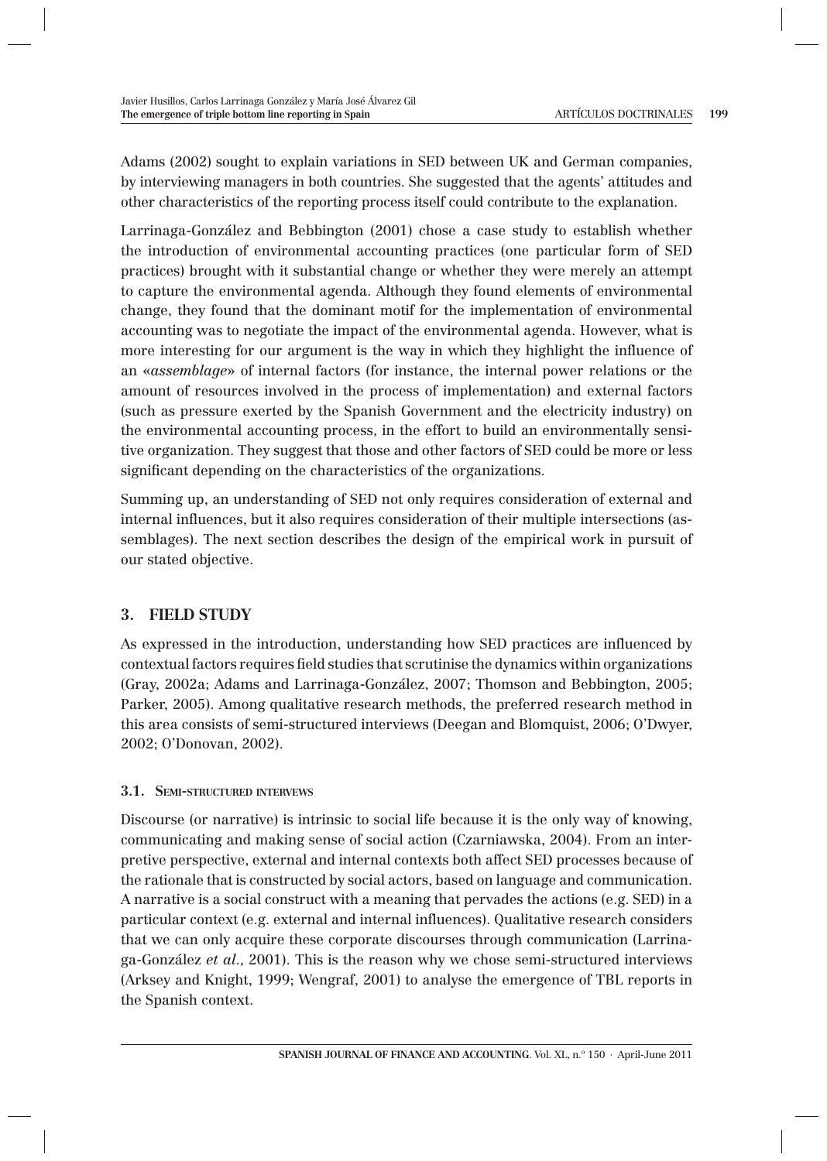Adams (2002) sought to explain variations in SED between UK and German companies, by interviewing managers in both countries. She suggested that the agents' attitudes and other characteristics of the reporting process itself could contribute to the explanation.

Larrinaga-González and Bebbington (2001) chose a case study to establish whether the introduction of environmental accounting practices (one particular form of SED practices) brought with it substantial change or whether they were merely an attempt to capture the environmental agenda. Although they found elements of environmental change, they found that the dominant motif for the implementation of environmental accounting was to negotiate the impact of the environmental agenda. However, what is more interesting for our argument is the way in which they highlight the influence of an «*assemblage*» of internal factors (for instance, the internal power relations or the amount of resources involved in the process of implementation) and external factors (such as pressure exerted by the Spanish Government and the electricity industry) on the environmental accounting process, in the effort to build an environmentally sensitive organization. They suggest that those and other factors of SED could be more or less significant depending on the characteristics of the organizations.

Summing up, an understanding of SED not only requires consideration of external and internal influences, but it also requires consideration of their multiple intersections (assemblages). The next section describes the design of the empirical work in pursuit of our stated objective.

# **3. FIELD STUDY**

As expressed in the introduction, understanding how SED practices are influenced by contextual factors requires field studies that scrutinise the dynamics within organizations (Gray, 2002a; Adams and Larrinaga-González, 2007; Thomson and Bebbington, 2005; Parker, 2005). Among qualitative research methods, the preferred research method in this area consists of semi-structured interviews (Deegan and Blomquist, 2006; O'Dwyer, 2002; O'Donovan, 2002).

# **3.1. SEMI-STRUCTURED INTERVEWS**

Discourse (or narrative) is intrinsic to social life because it is the only way of knowing, communicating and making sense of social action (Czarniawska, 2004). From an interpretive perspective, external and internal contexts both affect SED processes because of the rationale that is constructed by social actors, based on language and communication. A narrative is a social construct with a meaning that pervades the actions (e.g. SED) in a particular context (e.g. external and internal influences). Qualitative research considers that we can only acquire these corporate discourses through communication (Larrinaga-González *et al*., 2001). This is the reason why we chose semi-structured interviews (Arksey and Knight, 1999; Wengraf, 2001) to analyse the emergence of TBL reports in the Spanish context.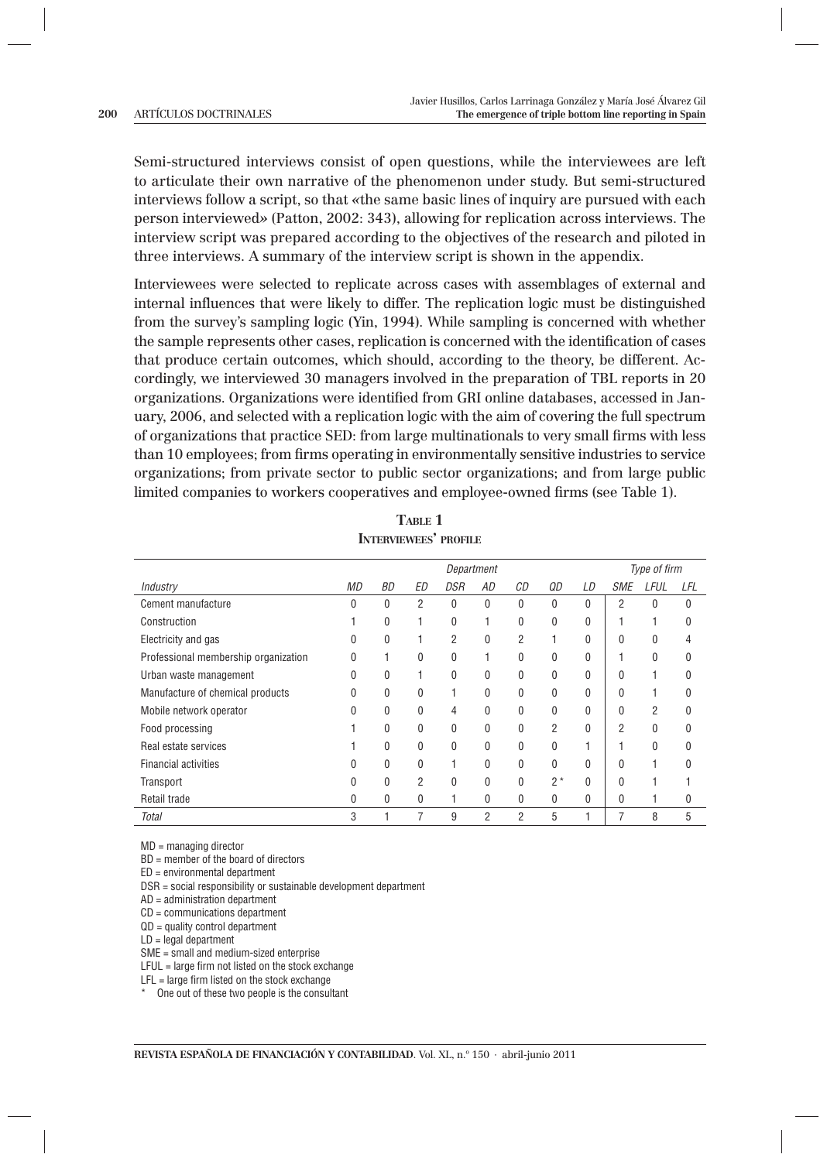Semi-structured interviews consist of open questions, while the interviewees are left to articulate their own narrative of the phenomenon under study. But semi-structured interviews follow a script, so that *«*the same basic lines of inquiry are pursued with each person interviewed*»* (Patton, 2002: 343), allowing for replication across interviews. The interview script was prepared according to the objectives of the research and piloted in three interviews. A summary of the interview script is shown in the appendix.

Interviewees were selected to replicate across cases with assemblages of external and internal influences that were likely to differ. The replication logic must be distinguished from the survey's sampling logic (Yin, 1994). While sampling is concerned with whether the sample represents other cases, replication is concerned with the identification of cases that produce certain outcomes, which should, according to the theory, be different. Accordingly, we interviewed 30 managers involved in the preparation of TBL reports in 20 organizations. Organizations were identified from GRI online databases, accessed in January, 2006, and selected with a replication logic with the aim of covering the full spectrum of organizations that practice SED: from large multinationals to very small firms with less than 10 employees; from firms operating in environmentally sensitive industries to service organizations; from private sector to public sector organizations; and from large public limited companies to workers cooperatives and employee-owned firms (see Table 1).

|                                      |    |              | Department     |     |    |    |                |              |                | Type of firm |     |  |  |
|--------------------------------------|----|--------------|----------------|-----|----|----|----------------|--------------|----------------|--------------|-----|--|--|
| Industry                             | MD | <b>BD</b>    | ЕD             | DSR | AD | CD | QD             | LD           | <i>SME</i>     | <b>LFUL</b>  | LFL |  |  |
| Cement manufacture                   | 0  | 0            | 2              | 0   | 0  | 0  | 0              | $\Omega$     | 2              | 0            | 0   |  |  |
| Construction                         |    | 0            |                | 0   |    | 0  | 0              | $\Omega$     |                |              | O   |  |  |
| Electricity and gas                  | 0  | 0            |                | 2   | 0  | 2  |                | 0            | 0              | 0            | 4   |  |  |
| Professional membership organization | 0  |              | $\mathbf{0}$   | 0   | 1  | 0  | 0              | $\Omega$     |                | 0            | O   |  |  |
| Urban waste management               | 0  | 0            |                | 0   | 0  | 0  | 0              | 0            | 0              |              | O   |  |  |
| Manufacture of chemical products     | 0  | 0            | $\mathbf{0}$   |     | 0  | 0  | 0              | 0            | 0              |              | U   |  |  |
| Mobile network operator              | 0  | 0            | $\Omega$       | 4   | 0  | 0  | 0              | 0            | 0              | 2            | O   |  |  |
| Food processing                      |    | <sup>0</sup> | $\Omega$       | 0   | 0  | 0  | $\overline{2}$ | $\Omega$     | $\overline{2}$ | 0            | O   |  |  |
| Real estate services                 |    | <sup>0</sup> | $\Omega$       | 0   | 0  | 0  | 0              |              |                | 0            | O   |  |  |
| <b>Financial activities</b>          | O  | 0            | $\mathbf{0}$   |     | 0  | 0  | 0              | $\Omega$     | 0              |              | U   |  |  |
| Transport                            | 0  | 0            | $\overline{2}$ | 0   | 0  | 0  | $2*$           | 0            | U              |              |     |  |  |
| Retail trade                         | 0  | 0            | $\mathbf{0}$   |     | 0  | 0  | 0              | $\mathbf{0}$ | 0              |              | 0   |  |  |
| Total                                | 3  |              |                | 9   | 2  | 2  | 5              |              | 7              | 8            | 5   |  |  |

**TABLE 1 INTERVIEWEES' PROFILE**

MD = managing director

BD = member of the board of directors

ED = environmental department

DSR = social responsibility or sustainable development department

AD = administration department

CD = communications department

QD = quality control department

LD = legal department

SME = small and medium-sized enterprise

 $LFUL = large firm not listed on the stock exchange$ 

 $LFL = large firm listed on the stock exchange$ 

\* One out of these two people is the consultant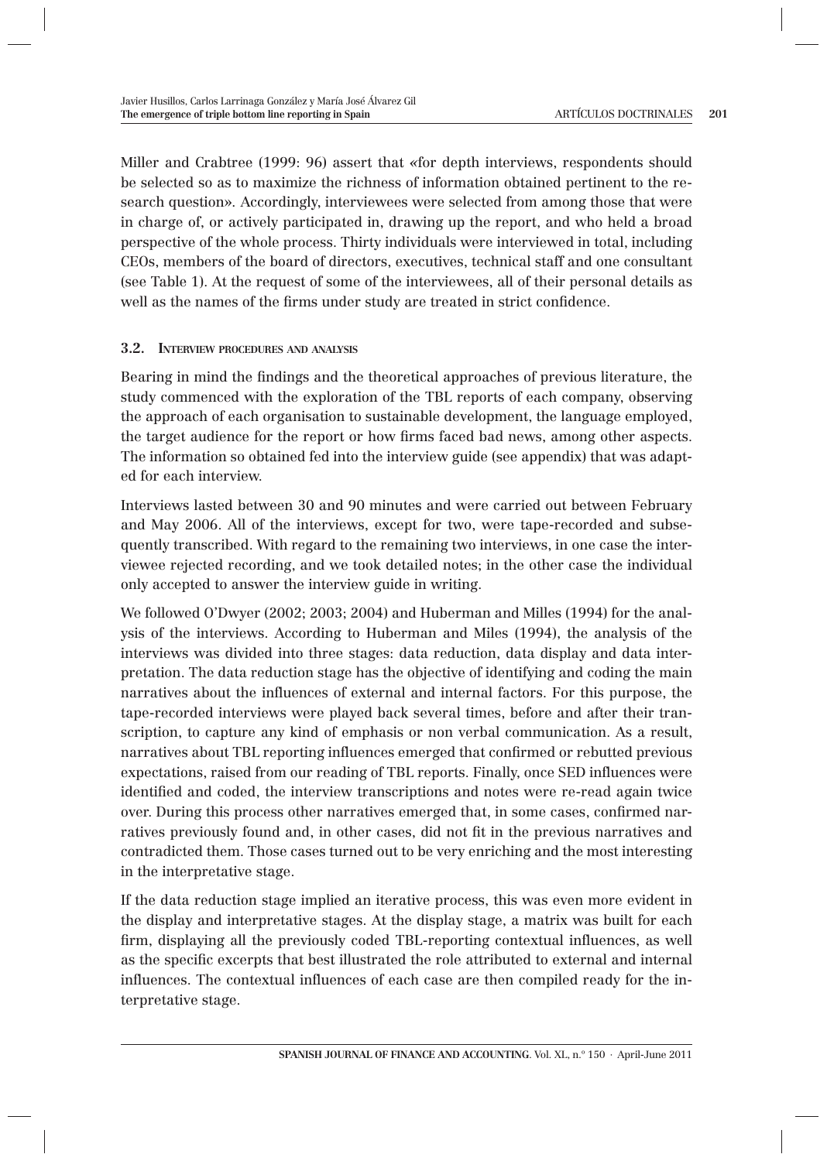Miller and Crabtree (1999: 96) assert that *«*for depth interviews, respondents should be selected so as to maximize the richness of information obtained pertinent to the research question»*.* Accordingly, interviewees were selected from among those that were in charge of, or actively participated in, drawing up the report, and who held a broad perspective of the whole process. Thirty individuals were interviewed in total, including CEOs, members of the board of directors, executives, technical staff and one consultant (see Table 1). At the request of some of the interviewees, all of their personal details as well as the names of the firms under study are treated in strict confidence.

# **3.2. INTERVIEW PROCEDURES AND ANALYSIS**

Bearing in mind the findings and the theoretical approaches of previous literature, the study commenced with the exploration of the TBL reports of each company, observing the approach of each organisation to sustainable development, the language employed, the target audience for the report or how firms faced bad news, among other aspects. The information so obtained fed into the interview guide (see appendix) that was adapted for each interview.

Interviews lasted between 30 and 90 minutes and were carried out between February and May 2006. All of the interviews, except for two, were tape-recorded and subsequently transcribed. With regard to the remaining two interviews, in one case the interviewee rejected recording, and we took detailed notes; in the other case the individual only accepted to answer the interview guide in writing.

We followed O'Dwyer (2002; 2003; 2004) and Huberman and Milles (1994) for the analysis of the interviews. According to Huberman and Miles (1994), the analysis of the interviews was divided into three stages: data reduction, data display and data interpretation. The data reduction stage has the objective of identifying and coding the main narratives about the influences of external and internal factors. For this purpose, the tape-recorded interviews were played back several times, before and after their transcription, to capture any kind of emphasis or non verbal communication. As a result, narratives about TBL reporting influences emerged that confirmed or rebutted previous expectations, raised from our reading of TBL reports. Finally, once SED influences were identified and coded, the interview transcriptions and notes were re-read again twice over. During this process other narratives emerged that, in some cases, confirmed narratives previously found and, in other cases, did not fit in the previous narratives and contradicted them. Those cases turned out to be very enriching and the most interesting in the interpretative stage.

If the data reduction stage implied an iterative process, this was even more evident in the display and interpretative stages. At the display stage, a matrix was built for each firm, displaying all the previously coded TBL-reporting contextual influences, as well as the specific excerpts that best illustrated the role attributed to external and internal influences. The contextual influences of each case are then compiled ready for the interpretative stage.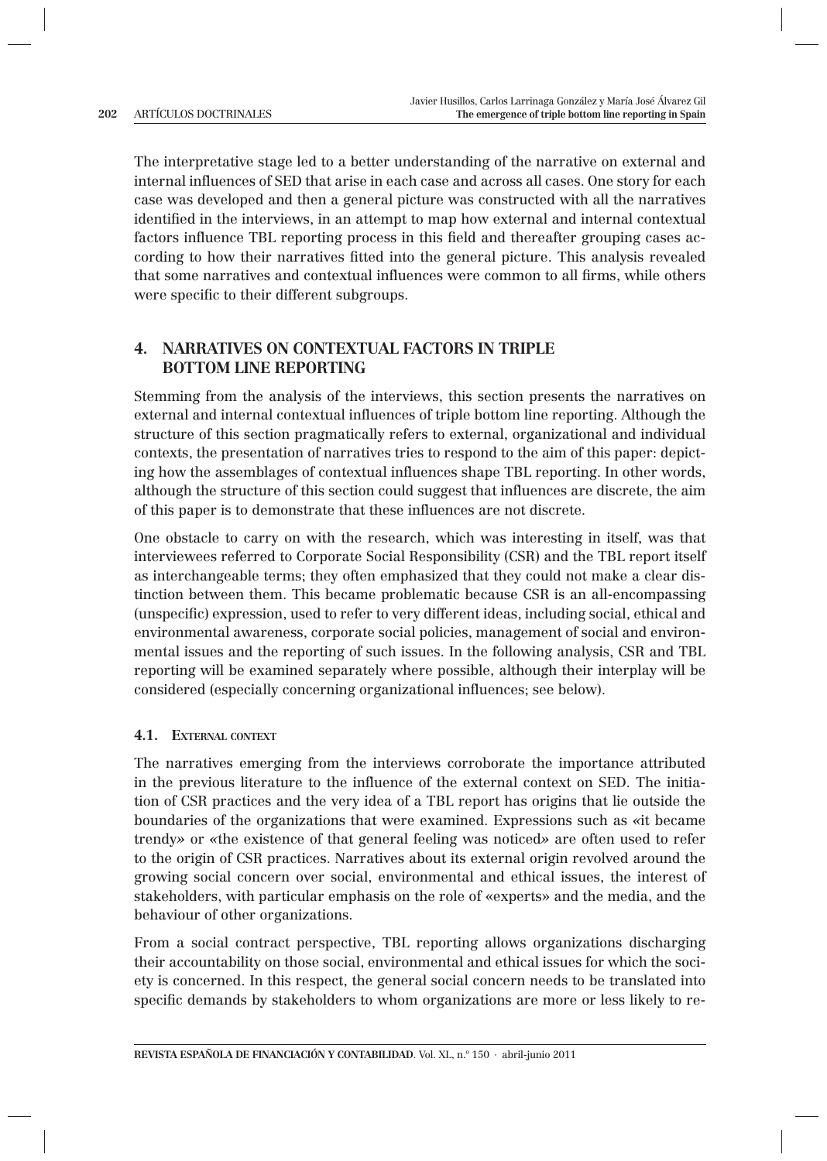The interpretative stage led to a better understanding of the narrative on external and internal influences of SED that arise in each case and across all cases. One story for each case was developed and then a general picture was constructed with all the narratives identified in the interviews, in an attempt to map how external and internal contextual factors influence TBL reporting process in this field and thereafter grouping cases according to how their narratives fitted into the general picture. This analysis revealed that some narratives and contextual influences were common to all firms, while others were specific to their different subgroups.

# **4. NARRATIVES ON CONTEXTUAL FACTORS IN TRIPLE BOTTOM LINE REPORTING**

Stemming from the analysis of the interviews, this section presents the narratives on external and internal contextual influences of triple bottom line reporting. Although the structure of this section pragmatically refers to external, organizational and individual contexts, the presentation of narratives tries to respond to the aim of this paper: depicting how the assemblages of contextual influences shape TBL reporting. In other words, although the structure of this section could suggest that influences are discrete, the aim of this paper is to demonstrate that these influences are not discrete.

One obstacle to carry on with the research, which was interesting in itself, was that interviewees referred to Corporate Social Responsibility (CSR) and the TBL report itself as interchangeable terms; they often emphasized that they could not make a clear distinction between them. This became problematic because CSR is an all-encompassing (unspecific) expression, used to refer to very different ideas, including social, ethical and environmental awareness, corporate social policies, management of social and environmental issues and the reporting of such issues. In the following analysis, CSR and TBL reporting will be examined separately where possible, although their interplay will be considered (especially concerning organizational influences; see below).

## **4.1. EXTERNAL CONTEXT**

The narratives emerging from the interviews corroborate the importance attributed in the previous literature to the influence of the external context on SED. The initiation of CSR practices and the very idea of a TBL report has origins that lie outside the boundaries of the organizations that were examined. Expressions such as *«*it became trendy*»* or *«*the existence of that general feeling was noticed*»* are often used to refer to the origin of CSR practices. Narratives about its external origin revolved around the growing social concern over social, environmental and ethical issues, the interest of stakeholders, with particular emphasis on the role of «experts» and the media, and the behaviour of other organizations.

From a social contract perspective, TBL reporting allows organizations discharging their accountability on those social, environmental and ethical issues for which the society is concerned. In this respect, the general social concern needs to be translated into specific demands by stakeholders to whom organizations are more or less likely to re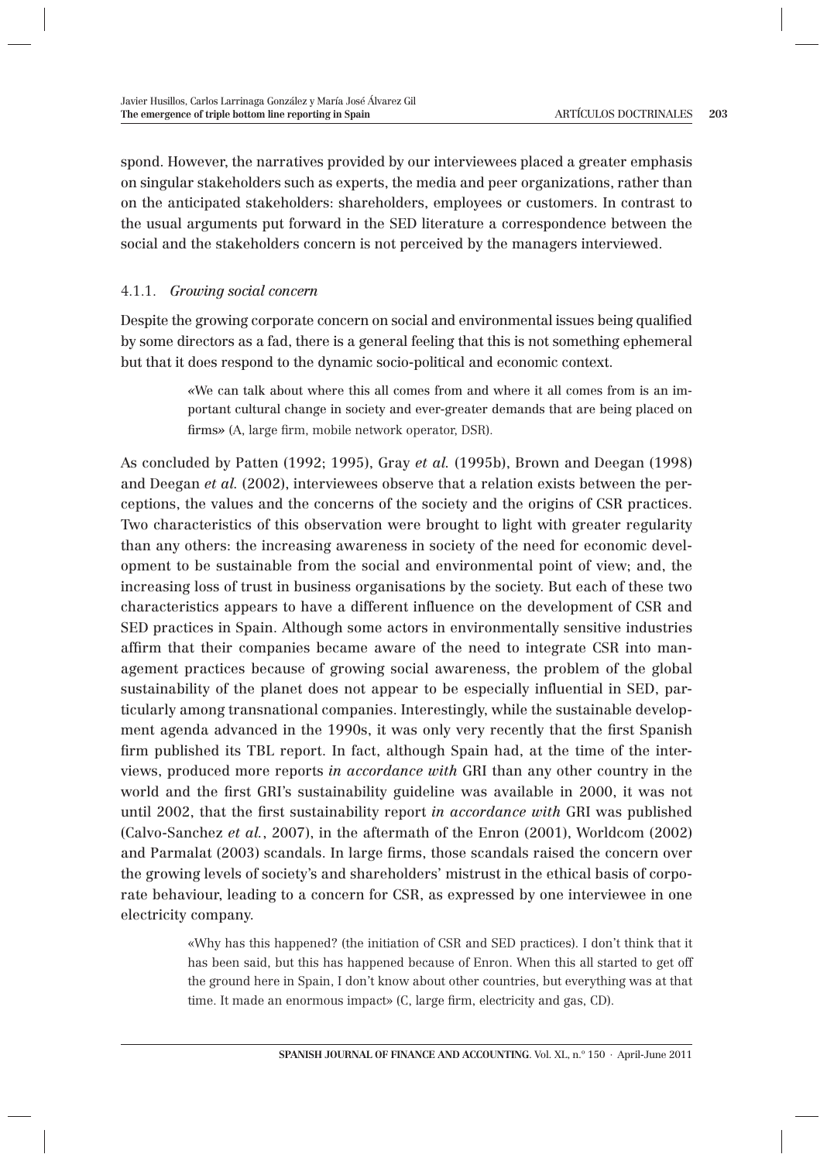spond. However, the narratives provided by our interviewees placed a greater emphasis on singular stakeholders such as experts, the media and peer organizations, rather than on the anticipated stakeholders: shareholders, employees or customers. In contrast to the usual arguments put forward in the SED literature a correspondence between the social and the stakeholders concern is not perceived by the managers interviewed.

# 4.1.1. *Growing social concern*

Despite the growing corporate concern on social and environmental issues being qualified by some directors as a fad, there is a general feeling that this is not something ephemeral but that it does respond to the dynamic socio-political and economic context.

> *«*We can talk about where this all comes from and where it all comes from is an important cultural change in society and ever-greater demands that are being placed on firms» (A, large firm, mobile network operator, DSR).

As concluded by Patten (1992; 1995), Gray *et al.* (1995b), Brown and Deegan (1998) and Deegan *et al.* (2002), interviewees observe that a relation exists between the perceptions, the values and the concerns of the society and the origins of CSR practices. Two characteristics of this observation were brought to light with greater regularity than any others: the increasing awareness in society of the need for economic development to be sustainable from the social and environmental point of view; and, the increasing loss of trust in business organisations by the society. But each of these two characteristics appears to have a different influence on the development of CSR and SED practices in Spain. Although some actors in environmentally sensitive industries affirm that their companies became aware of the need to integrate CSR into management practices because of growing social awareness, the problem of the global sustainability of the planet does not appear to be especially influential in SED, particularly among transnational companies. Interestingly, while the sustainable development agenda advanced in the 1990s, it was only very recently that the first Spanish firm published its TBL report. In fact, although Spain had, at the time of the interviews, produced more reports *in accordance with* GRI than any other country in the world and the first GRI's sustainability guideline was available in 2000, it was not until 2002, that the first sustainability report *in accordance with* GRI was published (Calvo-Sanchez *et al.*, 2007), in the aftermath of the Enron (2001), Worldcom (2002) and Parmalat (2003) scandals. In large firms, those scandals raised the concern over the growing levels of society's and shareholders' mistrust in the ethical basis of corporate behaviour, leading to a concern for CSR, as expressed by one interviewee in one electricity company.

> «Why has this happened? (the initiation of CSR and SED practices). I don't think that it has been said, but this has happened because of Enron. When this all started to get off the ground here in Spain, I don't know about other countries, but everything was at that time. It made an enormous impact» (C, large firm, electricity and gas, CD).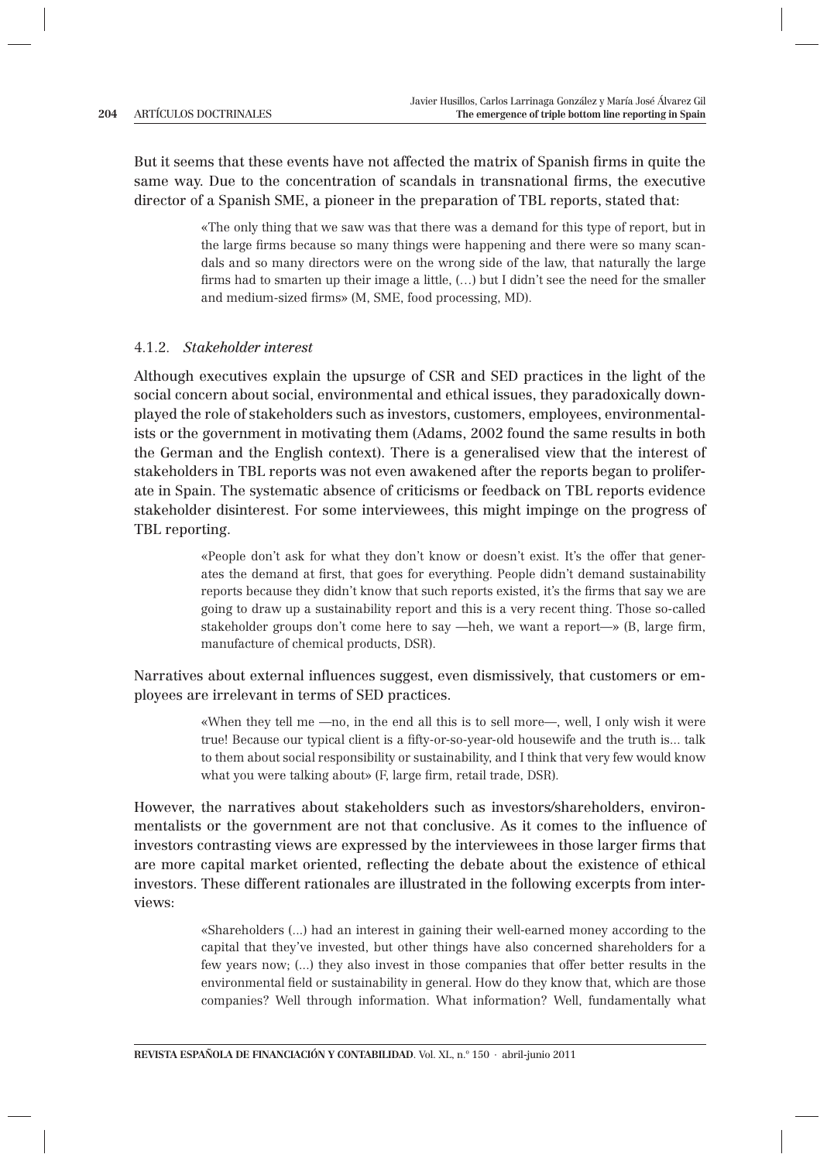But it seems that these events have not affected the matrix of Spanish firms in quite the same way. Due to the concentration of scandals in transnational firms, the executive director of a Spanish SME, a pioneer in the preparation of TBL reports, stated that:

> «The only thing that we saw was that there was a demand for this type of report, but in the large firms because so many things were happening and there were so many scandals and so many directors were on the wrong side of the law, that naturally the large firms had to smarten up their image a little,  $(...)$  but I didn't see the need for the smaller and medium-sized firms» (M, SME, food processing, MD).

## 4.1.2. *Stakeholder interest*

Although executives explain the upsurge of CSR and SED practices in the light of the social concern about social, environmental and ethical issues, they paradoxically downplayed the role of stakeholders such as investors, customers, employees, environmentalists or the government in motivating them (Adams, 2002 found the same results in both the German and the English context). There is a generalised view that the interest of stakeholders in TBL reports was not even awakened after the reports began to proliferate in Spain. The systematic absence of criticisms or feedback on TBL reports evidence stakeholder disinterest. For some interviewees, this might impinge on the progress of TBL reporting.

> «People don't ask for what they don't know or doesn't exist. It's the offer that generates the demand at first, that goes for everything. People didn't demand sustainability reports because they didn't know that such reports existed, it's the firms that say we are going to draw up a sustainability report and this is a very recent thing. Those so-called stakeholder groups don't come here to say —heh, we want a report—» (B, large firm, manufacture of chemical products, DSR).

Narratives about external influences suggest, even dismissively, that customers or employees are irrelevant in terms of SED practices.

> «When they tell me —no, in the end all this is to sell more—, well, I only wish it were true! Because our typical client is a fifty-or-so-year-old housewife and the truth is... talk to them about social responsibility or sustainability, and I think that very few would know what you were talking about» (F, large firm, retail trade, DSR).

However, the narratives about stakeholders such as investors/shareholders, environmentalists or the government are not that conclusive. As it comes to the influence of investors contrasting views are expressed by the interviewees in those larger firms that are more capital market oriented, reflecting the debate about the existence of ethical investors. These different rationales are illustrated in the following excerpts from interviews:

> «Shareholders (...) had an interest in gaining their well-earned money according to the capital that they've invested, but other things have also concerned shareholders for a few years now; (...) they also invest in those companies that offer better results in the environmental field or sustainability in general. How do they know that, which are those companies? Well through information. What information? Well, fundamentally what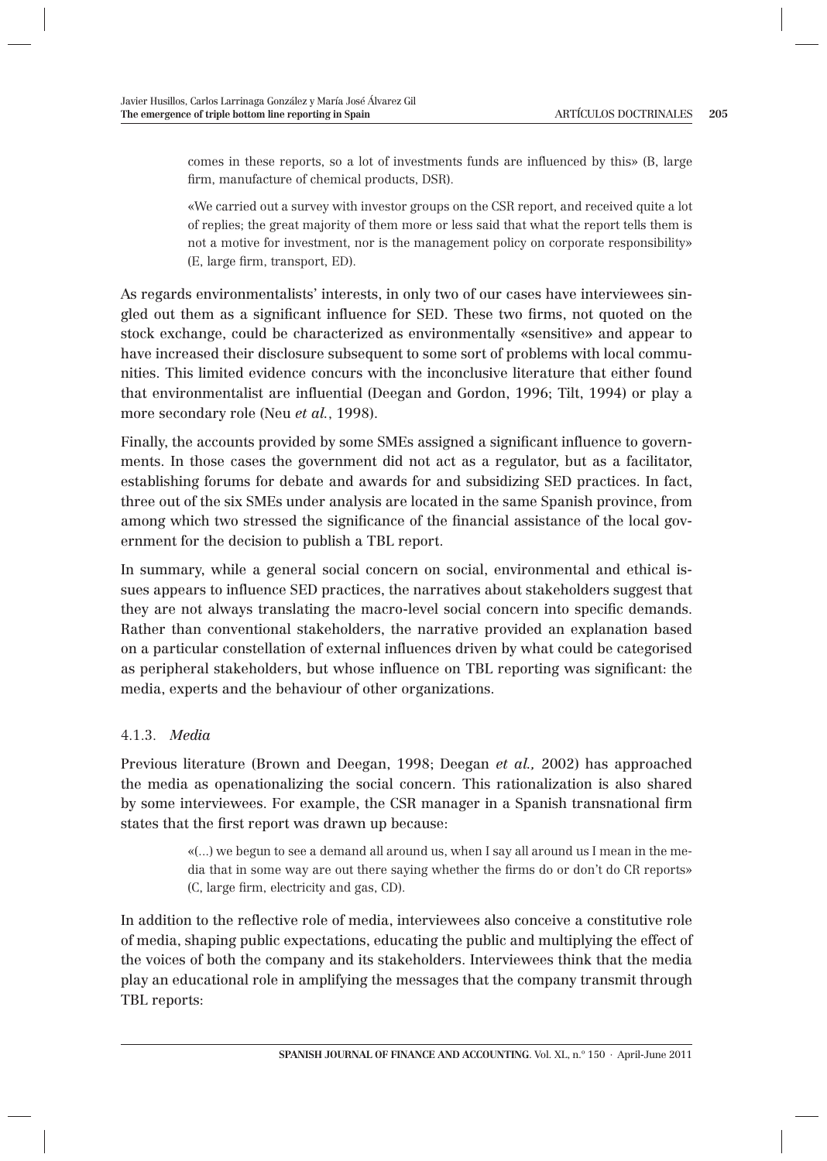comes in these reports, so a lot of investments funds are influenced by this » (B, large firm, manufacture of chemical products, DSR).

«We carried out a survey with investor groups on the CSR report, and received quite a lot of replies; the great majority of them more or less said that what the report tells them is not a motive for investment, nor is the management policy on corporate responsibility» (E, large firm, transport, ED).

As regards environmentalists' interests, in only two of our cases have interviewees singled out them as a significant influence for SED. These two firms, not quoted on the stock exchange, could be characterized as environmentally «sensitive» and appear to have increased their disclosure subsequent to some sort of problems with local communities. This limited evidence concurs with the inconclusive literature that either found that environmentalist are influential (Deegan and Gordon, 1996; Tilt, 1994) or play a more secondary role (Neu *et al.*, 1998).

Finally, the accounts provided by some SMEs assigned a significant influence to governments. In those cases the government did not act as a regulator, but as a facilitator, establishing forums for debate and awards for and subsidizing SED practices. In fact, three out of the six SMEs under analysis are located in the same Spanish province, from among which two stressed the significance of the financial assistance of the local government for the decision to publish a TBL report.

In summary, while a general social concern on social, environmental and ethical issues appears to influence SED practices, the narratives about stakeholders suggest that they are not always translating the macro-level social concern into specific demands. Rather than conventional stakeholders, the narrative provided an explanation based on a particular constellation of external influences driven by what could be categorised as peripheral stakeholders, but whose influence on TBL reporting was significant: the media, experts and the behaviour of other organizations.

## 4.1.3. *Media*

Previous literature (Brown and Deegan, 1998; Deegan *et al.,* 2002) has approached the media as openationalizing the social concern. This rationalization is also shared by some interviewees. For example, the CSR manager in a Spanish transnational firm states that the first report was drawn up because:

> «(...) we begun to see a demand all around us, when I say all around us I mean in the media that in some way are out there saying whether the firms do or don't do CR reports» (C, large firm, electricity and gas, CD).

In addition to the reflective role of media, interviewees also conceive a constitutive role of media, shaping public expectations, educating the public and multiplying the effect of the voices of both the company and its stakeholders. Interviewees think that the media play an educational role in amplifying the messages that the company transmit through TBL reports: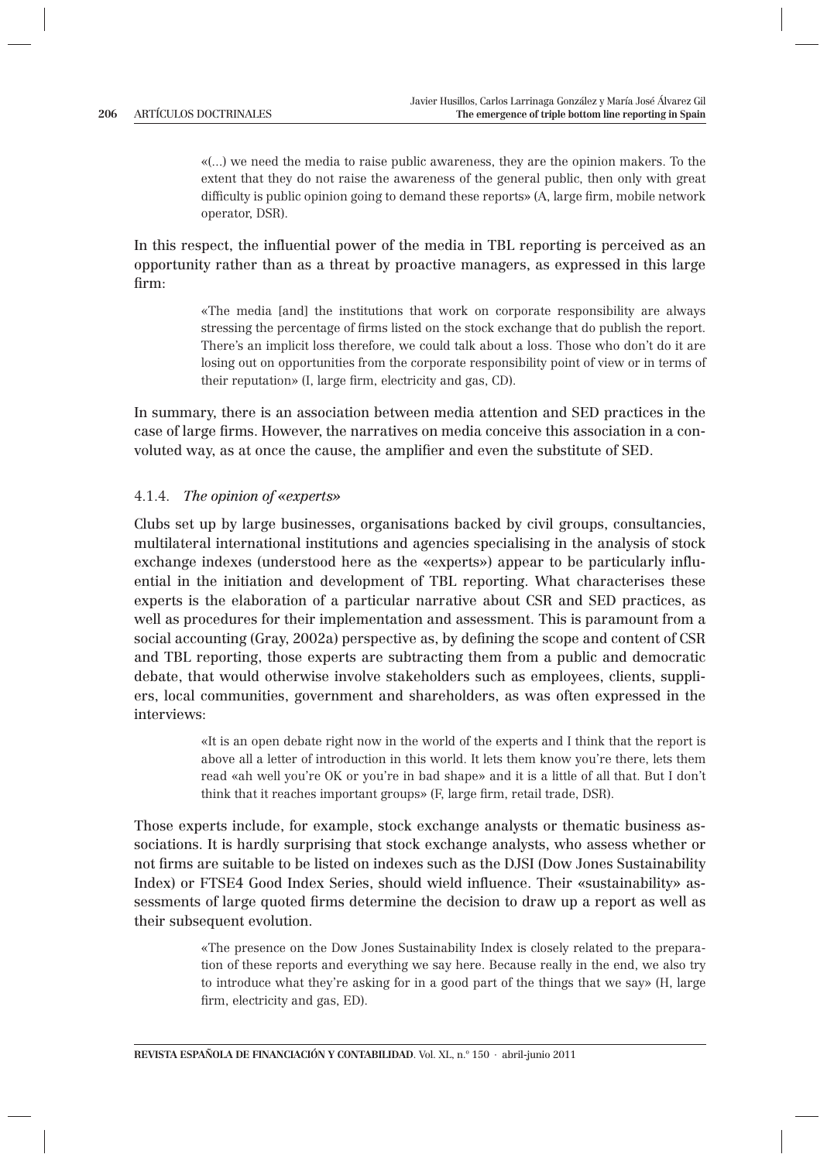«(...) we need the media to raise public awareness, they are the opinion makers. To the extent that they do not raise the awareness of the general public, then only with great difficulty is public opinion going to demand these reports» (A, large firm, mobile network operator, DSR).

In this respect, the influential power of the media in TBL reporting is perceived as an opportunity rather than as a threat by proactive managers, as expressed in this large firm:

> «The media [and] the institutions that work on corporate responsibility are always stressing the percentage of firms listed on the stock exchange that do publish the report. There's an implicit loss therefore, we could talk about a loss. Those who don't do it are losing out on opportunities from the corporate responsibility point of view or in terms of their reputation» (I, large firm, electricity and gas, CD).

In summary, there is an association between media attention and SED practices in the case of large firms. However, the narratives on media conceive this association in a convoluted way, as at once the cause, the amplifier and even the substitute of SED.

## 4.1.4. *The opinion of «experts»*

Clubs set up by large businesses, organisations backed by civil groups, consultancies, multilateral international institutions and agencies specialising in the analysis of stock exchange indexes (understood here as the «experts») appear to be particularly influential in the initiation and development of TBL reporting. What characterises these experts is the elaboration of a particular narrative about CSR and SED practices, as well as procedures for their implementation and assessment. This is paramount from a social accounting (Gray, 2002a) perspective as, by defining the scope and content of CSR and TBL reporting, those experts are subtracting them from a public and democratic debate, that would otherwise involve stakeholders such as employees, clients, suppliers, local communities, government and shareholders, as was often expressed in the interviews:

> «It is an open debate right now in the world of the experts and I think that the report is above all a letter of introduction in this world. It lets them know you're there, lets them read «ah well you're OK or you're in bad shape» and it is a little of all that. But I don't think that it reaches important groups» (F, large firm, retail trade, DSR).

Those experts include, for example, stock exchange analysts or thematic business associations. It is hardly surprising that stock exchange analysts, who assess whether or not firms are suitable to be listed on indexes such as the DJSI (Dow Jones Sustainability Index) or FTSE4 Good Index Series, should wield influence. Their «sustainability» assessments of large quoted firms determine the decision to draw up a report as well as their subsequent evolution.

> «The presence on the Dow Jones Sustainability Index is closely related to the preparation of these reports and everything we say here. Because really in the end, we also try to introduce what they're asking for in a good part of the things that we say» (H, large firm, electricity and gas, ED).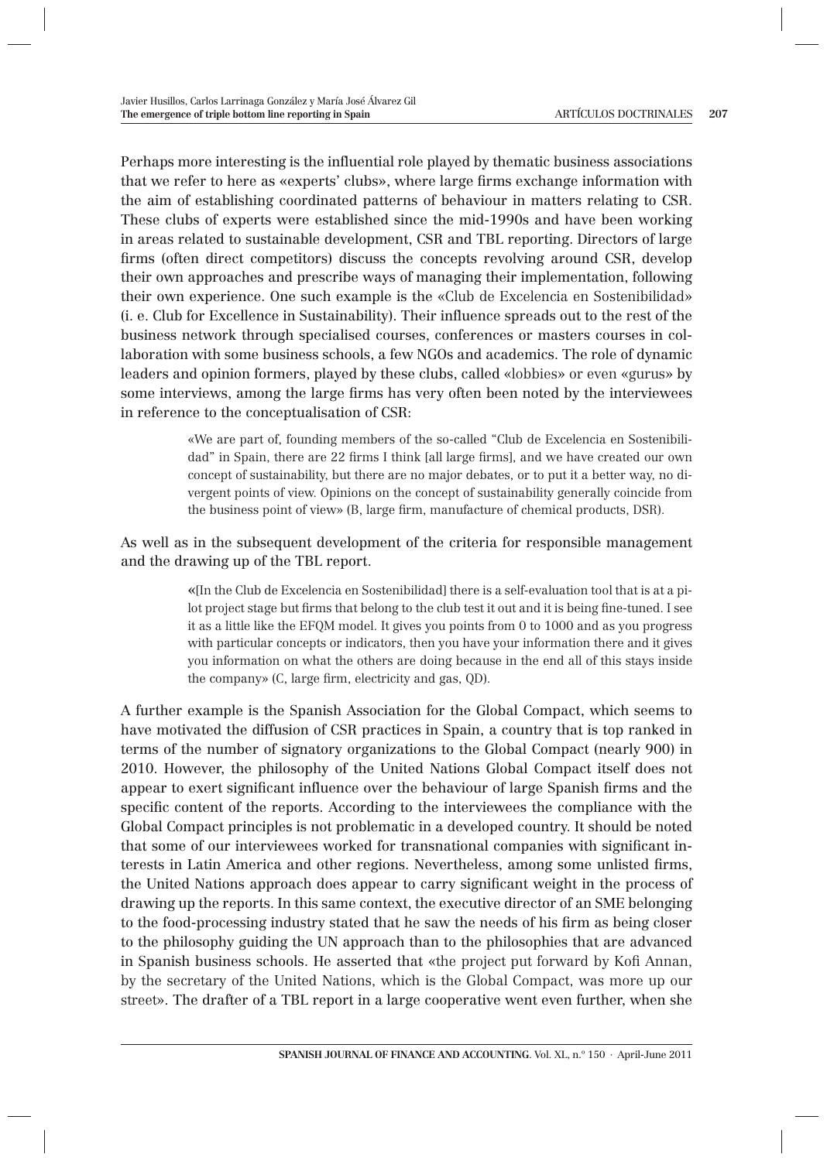Perhaps more interesting is the influential role played by thematic business associations that we refer to here as «experts' clubs», where large firms exchange information with the aim of establishing coordinated patterns of behaviour in matters relating to CSR. These clubs of experts were established since the mid-1990s and have been working in areas related to sustainable development, CSR and TBL reporting. Directors of large firms (often direct competitors) discuss the concepts revolving around CSR, develop their own approaches and prescribe ways of managing their implementation, following their own experience. One such example is the «Club de Excelencia en Sostenibilidad» (i. e. Club for Excellence in Sustainability). Their influence spreads out to the rest of the business network through specialised courses, conferences or masters courses in collaboration with some business schools, a few NGOs and academics. The role of dynamic leaders and opinion formers, played by these clubs, called «lobbies» or even «gurus» by some interviews, among the large firms has very often been noted by the interviewees in reference to the conceptualisation of CSR:

> «We are part of, founding members of the so-called "Club de Excelencia en Sostenibilidad" in Spain, there are 22 firms I think [all large firms], and we have created our own concept of sustainability, but there are no major debates, or to put it a better way, no divergent points of view. Opinions on the concept of sustainability generally coincide from the business point of view» (B, large firm, manufacture of chemical products, DSR).

# As well as in the subsequent development of the criteria for responsible management and the drawing up of the TBL report.

«[In the Club de Excelencia en Sostenibilidad] there is a self-evaluation tool that is at a pilot project stage but firms that belong to the club test it out and it is being fine-tuned. I see it as a little like the EFQM model. It gives you points from 0 to 1000 and as you progress with particular concepts or indicators, then you have your information there and it gives you information on what the others are doing because in the end all of this stays inside the company» (C, large firm, electricity and gas, QD).

A further example is the Spanish Association for the Global Compact, which seems to have motivated the diffusion of CSR practices in Spain, a country that is top ranked in terms of the number of signatory organizations to the Global Compact (nearly 900) in 2010. However, the philosophy of the United Nations Global Compact itself does not appear to exert significant influence over the behaviour of large Spanish firms and the specific content of the reports. According to the interviewees the compliance with the Global Compact principles is not problematic in a developed country. It should be noted that some of our interviewees worked for transnational companies with significant interests in Latin America and other regions. Nevertheless, among some unlisted firms, the United Nations approach does appear to carry significant weight in the process of drawing up the reports. In this same context, the executive director of an SME belonging to the food-processing industry stated that he saw the needs of his firm as being closer to the philosophy guiding the UN approach than to the philosophies that are advanced in Spanish business schools. He asserted that «the project put forward by Kofi Annan, by the secretary of the United Nations, which is the Global Compact, was more up our street». The drafter of a TBL report in a large cooperative went even further, when she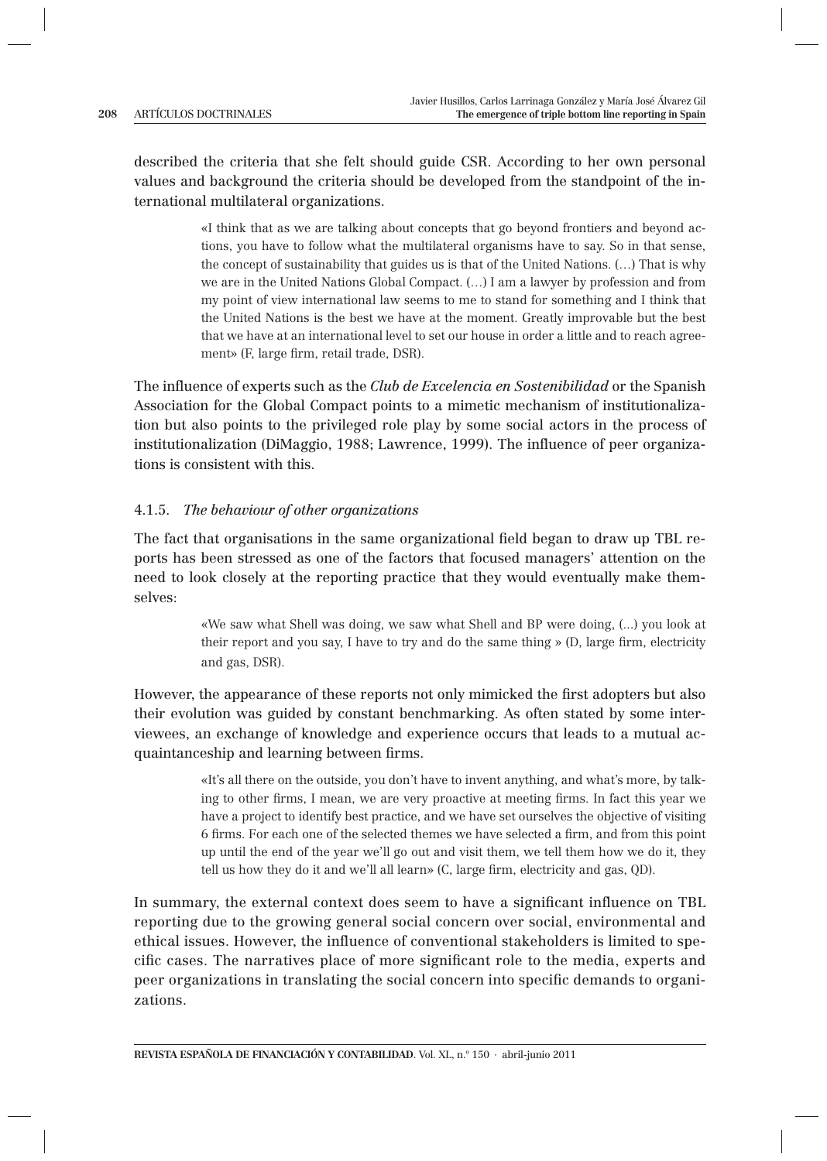described the criteria that she felt should guide CSR. According to her own personal values and background the criteria should be developed from the standpoint of the international multilateral organizations.

> «I think that as we are talking about concepts that go beyond frontiers and beyond actions, you have to follow what the multilateral organisms have to say. So in that sense, the concept of sustainability that guides us is that of the United Nations. (…) That is why we are in the United Nations Global Compact. (…) I am a lawyer by profession and from my point of view international law seems to me to stand for something and I think that the United Nations is the best we have at the moment. Greatly improvable but the best that we have at an international level to set our house in order a little and to reach agreement» (F, large firm, retail trade, DSR).

The influence of experts such as the *Club de Excelencia en Sostenibilidad* or the Spanish Association for the Global Compact points to a mimetic mechanism of institutionalization but also points to the privileged role play by some social actors in the process of institutionalization (DiMaggio, 1988; Lawrence, 1999). The influence of peer organizations is consistent with this.

# 4.1.5. *The behaviour of other organizations*

The fact that organisations in the same organizational field began to draw up TBL reports has been stressed as one of the factors that focused managers' attention on the need to look closely at the reporting practice that they would eventually make themselves:

> «We saw what Shell was doing, we saw what Shell and BP were doing, (...) you look at their report and you say, I have to try and do the same thing  $\ast$  (D, large firm, electricity and gas, DSR).

However, the appearance of these reports not only mimicked the first adopters but also their evolution was guided by constant benchmarking. As often stated by some interviewees, an exchange of knowledge and experience occurs that leads to a mutual acquaintanceship and learning between firms.

> «It's all there on the outside, you don't have to invent anything, and what's more, by talking to other firms, I mean, we are very proactive at meeting firms. In fact this year we have a project to identify best practice, and we have set ourselves the objective of visiting 6 firms. For each one of the selected themes we have selected a firm, and from this point up until the end of the year we'll go out and visit them, we tell them how we do it, they tell us how they do it and we'll all learn» (C, large firm, electricity and gas, QD).

In summary, the external context does seem to have a significant influence on TBL reporting due to the growing general social concern over social, environmental and ethical issues. However, the influence of conventional stakeholders is limited to specific cases. The narratives place of more significant role to the media, experts and peer organizations in translating the social concern into specifi c demands to organizations.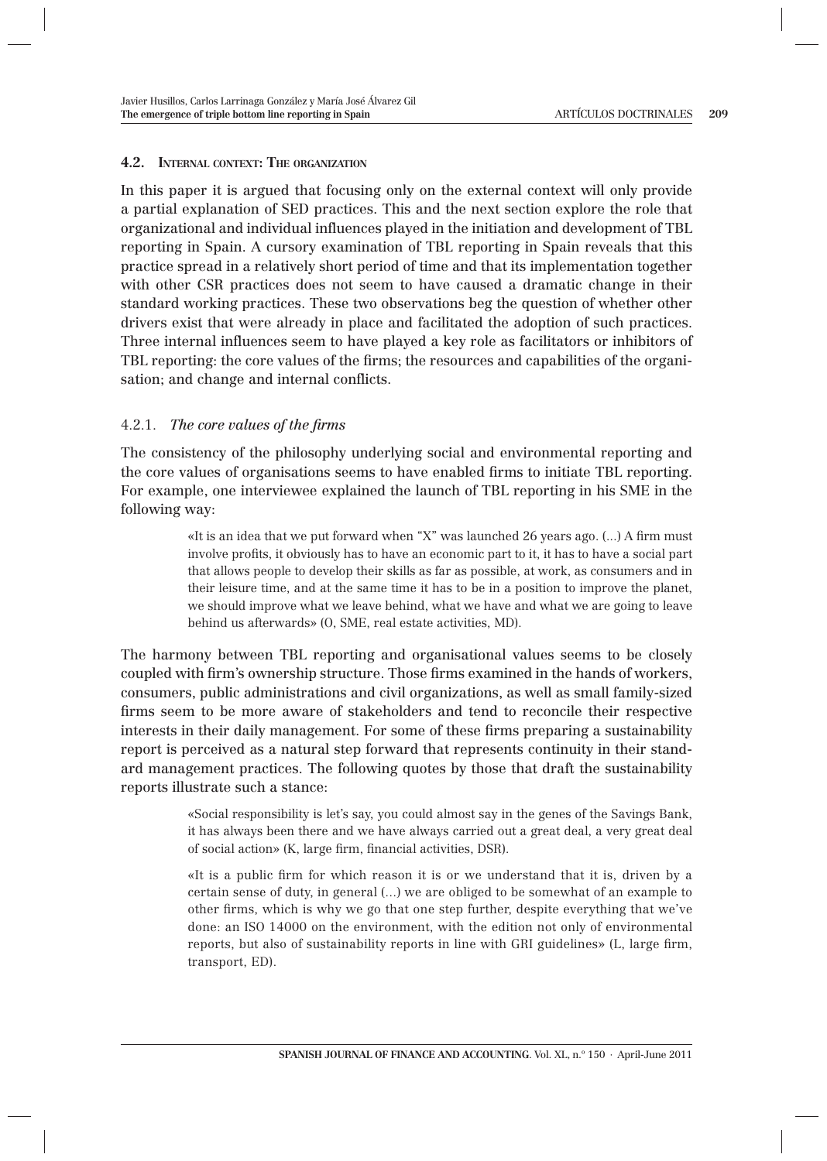#### **4.2. INTERNAL CONTEXT: THE ORGANIZATION**

In this paper it is argued that focusing only on the external context will only provide a partial explanation of SED practices. This and the next section explore the role that organizational and individual influences played in the initiation and development of TBL reporting in Spain. A cursory examination of TBL reporting in Spain reveals that this practice spread in a relatively short period of time and that its implementation together with other CSR practices does not seem to have caused a dramatic change in their standard working practices. These two observations beg the question of whether other drivers exist that were already in place and facilitated the adoption of such practices. Three internal influences seem to have played a key role as facilitators or inhibitors of TBL reporting: the core values of the firms; the resources and capabilities of the organisation; and change and internal conflicts.

## 4.2.1. *The core values of the firms*

The consistency of the philosophy underlying social and environmental reporting and the core values of organisations seems to have enabled firms to initiate TBL reporting. For example, one interviewee explained the launch of TBL reporting in his SME in the following way:

> «It is an idea that we put forward when "X" was launched  $26$  years ago.  $(...)$  A firm must involve profits, it obviously has to have an economic part to it, it has to have a social part that allows people to develop their skills as far as possible, at work, as consumers and in their leisure time, and at the same time it has to be in a position to improve the planet, we should improve what we leave behind, what we have and what we are going to leave behind us afterwards» (O, SME, real estate activities, MD).

The harmony between TBL reporting and organisational values seems to be closely coupled with firm's ownership structure. Those firms examined in the hands of workers, consumers, public administrations and civil organizations, as well as small family-sized firms seem to be more aware of stakeholders and tend to reconcile their respective interests in their daily management. For some of these firms preparing a sustainability report is perceived as a natural step forward that represents continuity in their standard management practices. The following quotes by those that draft the sustainability reports illustrate such a stance:

> «Social responsibility is let's say, you could almost say in the genes of the Savings Bank, it has always been there and we have always carried out a great deal, a very great deal of social action» (K, large firm, financial activities, DSR).

> «It is a public firm for which reason it is or we understand that it is, driven by a certain sense of duty, in general (...) we are obliged to be somewhat of an example to other firms, which is why we go that one step further, despite everything that we've done: an ISO 14000 on the environment, with the edition not only of environmental reports, but also of sustainability reports in line with GRI guidelines» (L, large firm, transport, ED).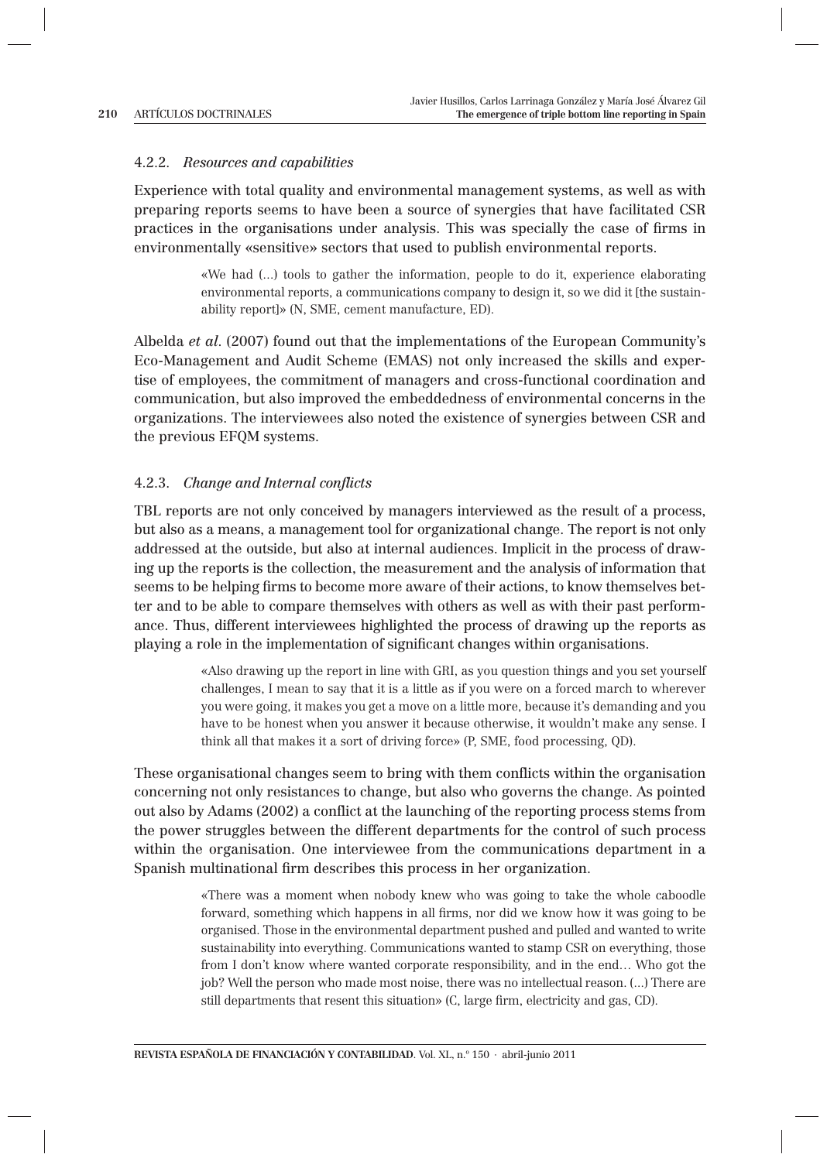## 4.2.2. *Resources and capabilities*

Experience with total quality and environmental management systems, as well as with preparing reports seems to have been a source of synergies that have facilitated CSR practices in the organisations under analysis. This was specially the case of firms in environmentally «sensitive» sectors that used to publish environmental reports.

> «We had (...) tools to gather the information, people to do it, experience elaborating environmental reports, a communications company to design it, so we did it [the sustainability report]» (N, SME, cement manufacture, ED).

Albelda *et al*. (2007) found out that the implementations of the European Community's Eco-Management and Audit Scheme (EMAS) not only increased the skills and expertise of employees, the commitment of managers and cross-functional coordination and communication, but also improved the embeddedness of environmental concerns in the organizations. The interviewees also noted the existence of synergies between CSR and the previous EFQM systems.

## 4.2.3. *Change and Internal conflicts*

TBL reports are not only conceived by managers interviewed as the result of a process, but also as a means, a management tool for organizational change. The report is not only addressed at the outside, but also at internal audiences. Implicit in the process of drawing up the reports is the collection, the measurement and the analysis of information that seems to be helping firms to become more aware of their actions, to know themselves better and to be able to compare themselves with others as well as with their past performance. Thus, different interviewees highlighted the process of drawing up the reports as playing a role in the implementation of significant changes within organisations.

> «Also drawing up the report in line with GRI, as you question things and you set yourself challenges, I mean to say that it is a little as if you were on a forced march to wherever you were going, it makes you get a move on a little more, because it's demanding and you have to be honest when you answer it because otherwise, it wouldn't make any sense. I think all that makes it a sort of driving force» (P, SME, food processing, QD).

These organisational changes seem to bring with them conflicts within the organisation concerning not only resistances to change, but also who governs the change. As pointed out also by Adams (2002) a conflict at the launching of the reporting process stems from the power struggles between the different departments for the control of such process within the organisation. One interviewee from the communications department in a Spanish multinational firm describes this process in her organization.

> «There was a moment when nobody knew who was going to take the whole caboodle forward, something which happens in all firms, nor did we know how it was going to be organised. Those in the environmental department pushed and pulled and wanted to write sustainability into everything. Communications wanted to stamp CSR on everything, those from I don't know where wanted corporate responsibility, and in the end… Who got the job? Well the person who made most noise, there was no intellectual reason. (...) There are still departments that resent this situation» (C, large firm, electricity and gas, CD).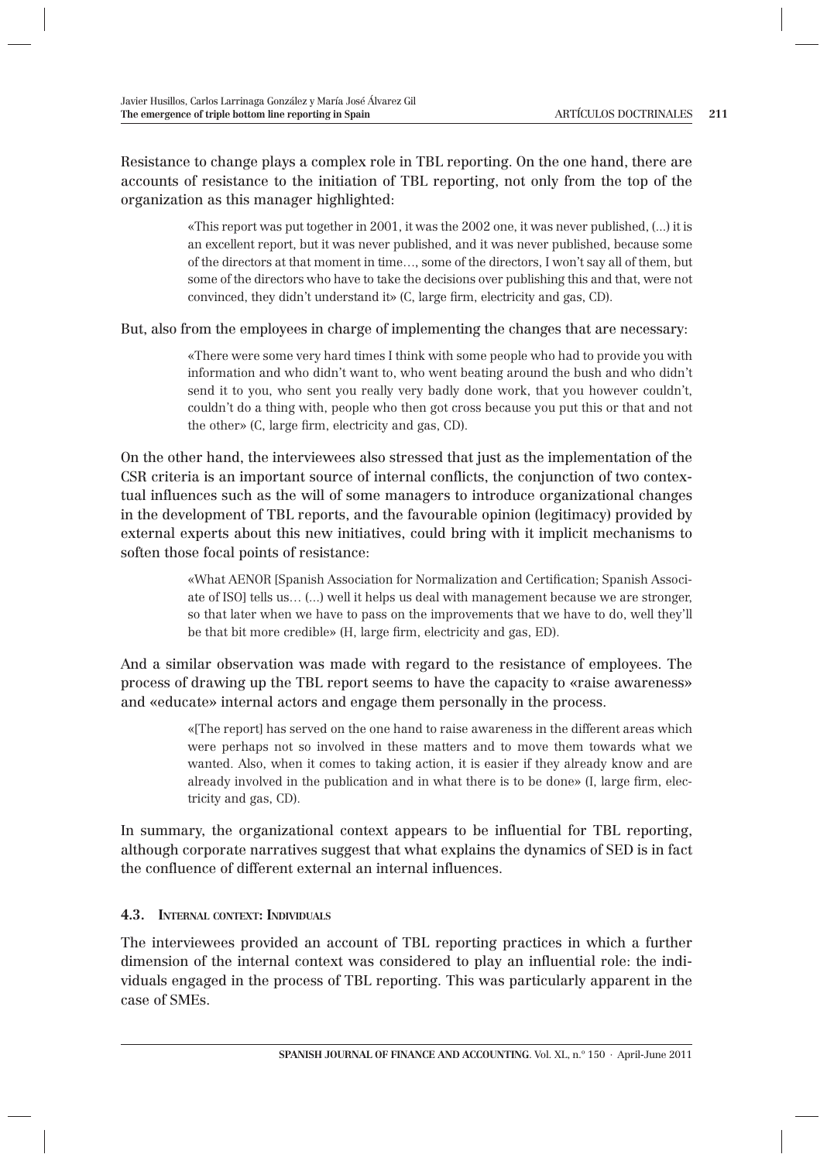Resistance to change plays a complex role in TBL reporting. On the one hand, there are accounts of resistance to the initiation of TBL reporting, not only from the top of the organization as this manager highlighted:

> «This report was put together in 2001, it was the 2002 one, it was never published, (...) it is an excellent report, but it was never published, and it was never published, because some of the directors at that moment in time…, some of the directors, I won't say all of them, but some of the directors who have to take the decisions over publishing this and that, were not convinced, they didn't understand it» (C, large firm, electricity and gas, CD).

## But, also from the employees in charge of implementing the changes that are necessary:

«There were some very hard times I think with some people who had to provide you with information and who didn't want to, who went beating around the bush and who didn't send it to you, who sent you really very badly done work, that you however couldn't, couldn't do a thing with, people who then got cross because you put this or that and not the other» (C, large firm, electricity and gas, CD).

On the other hand, the interviewees also stressed that just as the implementation of the CSR criteria is an important source of internal conflicts, the conjunction of two contextual influences such as the will of some managers to introduce organizational changes in the development of TBL reports, and the favourable opinion (legitimacy) provided by external experts about this new initiatives, could bring with it implicit mechanisms to soften those focal points of resistance:

> «What AENOR [Spanish Association for Normalization and Certification; Spanish Associate of ISO] tells us… (...) well it helps us deal with management because we are stronger, so that later when we have to pass on the improvements that we have to do, well they'll be that bit more credible» (H, large firm, electricity and gas, ED).

And a similar observation was made with regard to the resistance of employees. The process of drawing up the TBL report seems to have the capacity to «raise awareness» and «educate» internal actors and engage them personally in the process.

> «[The report] has served on the one hand to raise awareness in the different areas which were perhaps not so involved in these matters and to move them towards what we wanted. Also, when it comes to taking action, it is easier if they already know and are already involved in the publication and in what there is to be done» (I, large firm, electricity and gas, CD).

In summary, the organizational context appears to be influential for TBL reporting, although corporate narratives suggest that what explains the dynamics of SED is in fact the confluence of different external an internal influences

## **4.3. INTERNAL CONTEXT: INDIVIDUALS**

The interviewees provided an account of TBL reporting practices in which a further dimension of the internal context was considered to play an influential role: the individuals engaged in the process of TBL reporting. This was particularly apparent in the case of SMEs.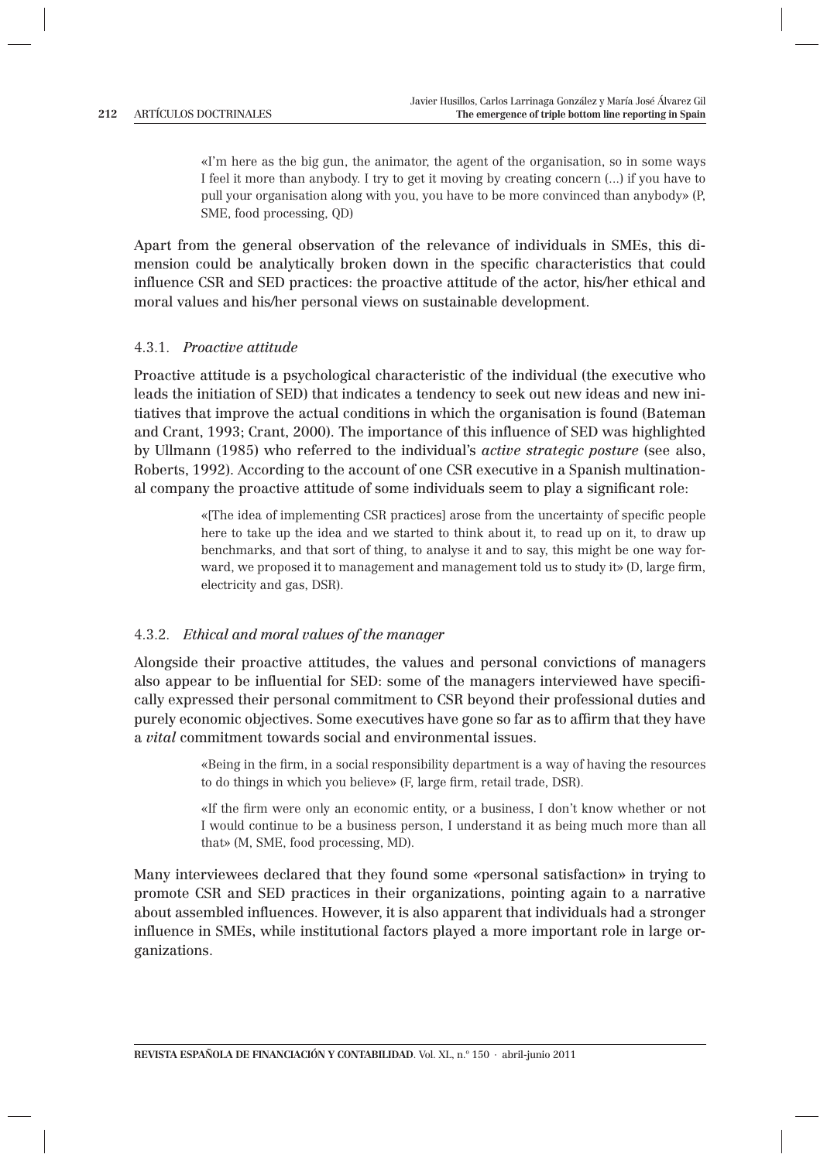«I'm here as the big gun, the animator, the agent of the organisation, so in some ways I feel it more than anybody. I try to get it moving by creating concern (...) if you have to pull your organisation along with you, you have to be more convinced than anybody» (P, SME, food processing, QD)

Apart from the general observation of the relevance of individuals in SMEs, this dimension could be analytically broken down in the specific characteristics that could influence CSR and SED practices: the proactive attitude of the actor, his/her ethical and moral values and his/her personal views on sustainable development.

## 4.3.1. *Proactive attitude*

Proactive attitude is a psychological characteristic of the individual (the executive who leads the initiation of SED) that indicates a tendency to seek out new ideas and new initiatives that improve the actual conditions in which the organisation is found (Bateman and Crant, 1993; Crant, 2000). The importance of this influence of SED was highlighted by Ullmann (1985) who referred to the individual's *active strategic posture* (see also, Roberts, 1992). According to the account of one CSR executive in a Spanish multinational company the proactive attitude of some individuals seem to play a significant role:

> «[The idea of implementing CSR practices] arose from the uncertainty of specific people here to take up the idea and we started to think about it, to read up on it, to draw up benchmarks, and that sort of thing, to analyse it and to say, this might be one way forward, we proposed it to management and management told us to study it» (D, large firm, electricity and gas, DSR).

## 4.3.2. *Ethical and moral values of the manager*

Alongside their proactive attitudes, the values and personal convictions of managers also appear to be influential for SED: some of the managers interviewed have specifically expressed their personal commitment to CSR beyond their professional duties and purely economic objectives. Some executives have gone so far as to affirm that they have a *vital* commitment towards social and environmental issues.

> «Being in the firm, in a social responsibility department is a way of having the resources to do things in which you believe» (F, large firm, retail trade, DSR).

> «If the firm were only an economic entity, or a business, I don't know whether or not I would continue to be a business person, I understand it as being much more than all that» (M, SME, food processing, MD).

Many interviewees declared that they found some *«*personal satisfaction» in trying to promote CSR and SED practices in their organizations, pointing again to a narrative about assembled influences. However, it is also apparent that individuals had a stronger influence in SMEs, while institutional factors played a more important role in large organizations.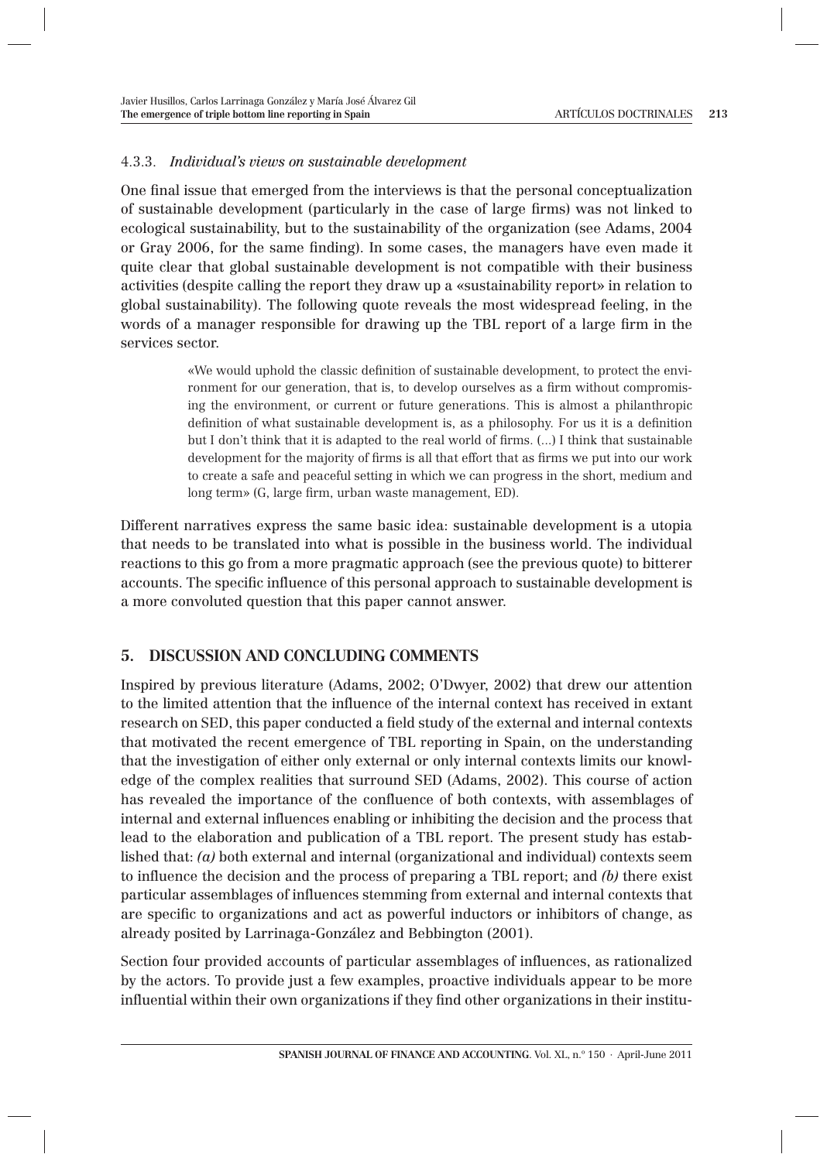# 4.3.3. *Individual's views on sustainable development*

One final issue that emerged from the interviews is that the personal conceptualization of sustainable development (particularly in the case of large firms) was not linked to ecological sustainability, but to the sustainability of the organization (see Adams, 2004 or Gray 2006, for the same finding). In some cases, the managers have even made it quite clear that global sustainable development is not compatible with their business activities (despite calling the report they draw up a «sustainability report» in relation to global sustainability). The following quote reveals the most widespread feeling, in the words of a manager responsible for drawing up the TBL report of a large firm in the services sector.

> «We would uphold the classic definition of sustainable development, to protect the environment for our generation, that is, to develop ourselves as a firm without compromising the environment, or current or future generations. This is almost a philanthropic definition of what sustainable development is, as a philosophy. For us it is a definition but I don't think that it is adapted to the real world of firms. (...) I think that sustainable development for the majority of firms is all that effort that as firms we put into our work to create a safe and peaceful setting in which we can progress in the short, medium and long term» (G, large firm, urban waste management, ED).

Different narratives express the same basic idea: sustainable development is a utopia that needs to be translated into what is possible in the business world. The individual reactions to this go from a more pragmatic approach (see the previous quote) to bitterer accounts. The specific influence of this personal approach to sustainable development is a more convoluted question that this paper cannot answer.

# **5. DISCUSSION AND CONCLUDING COMMENTS**

Inspired by previous literature (Adams, 2002; O'Dwyer, 2002) that drew our attention to the limited attention that the influence of the internal context has received in extant research on SED, this paper conducted a field study of the external and internal contexts that motivated the recent emergence of TBL reporting in Spain, on the understanding that the investigation of either only external or only internal contexts limits our knowledge of the complex realities that surround SED (Adams, 2002). This course of action has revealed the importance of the confluence of both contexts, with assemblages of internal and external influences enabling or inhibiting the decision and the process that lead to the elaboration and publication of a TBL report. The present study has established that: *(a)* both external and internal (organizational and individual) contexts seem to influence the decision and the process of preparing a TBL report; and *(b)* there exist particular assemblages of influences stemming from external and internal contexts that are specific to organizations and act as powerful inductors or inhibitors of change, as already posited by Larrinaga-González and Bebbington (2001).

Section four provided accounts of particular assemblages of influences, as rationalized by the actors. To provide just a few examples, proactive individuals appear to be more influential within their own organizations if they find other organizations in their institu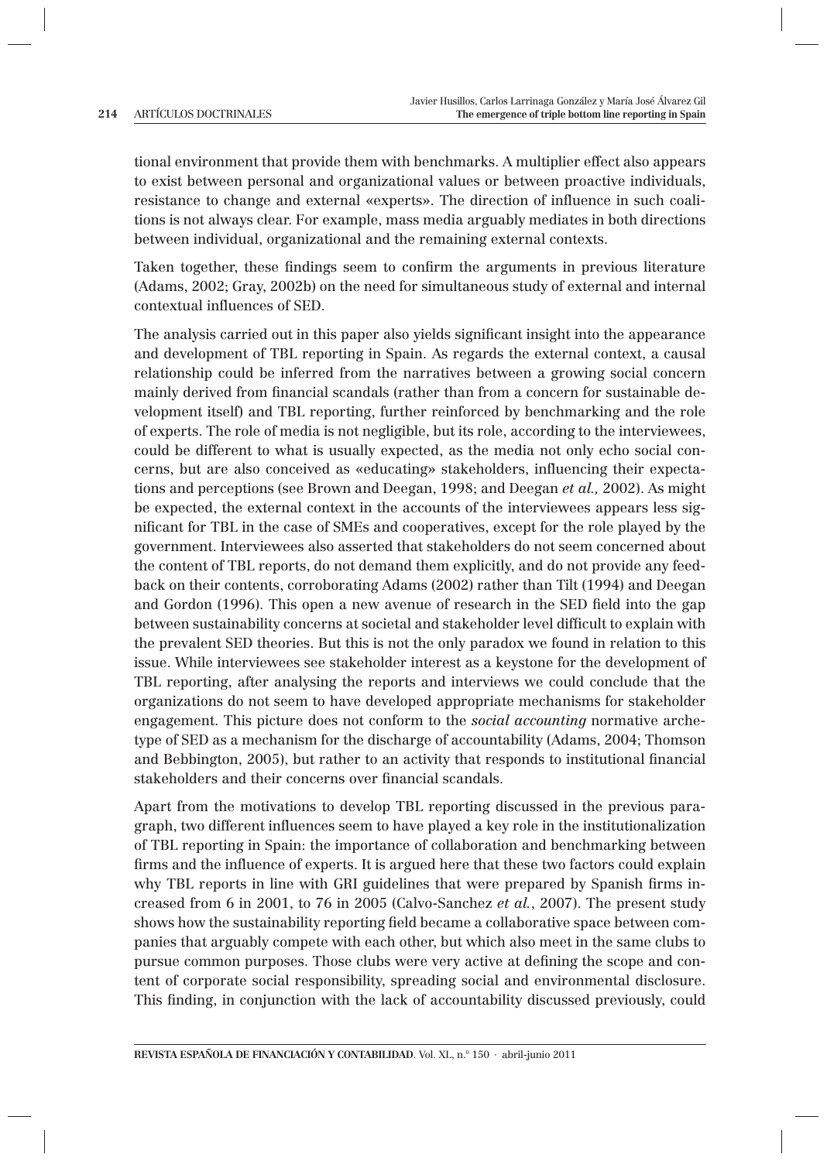tional environment that provide them with benchmarks. A multiplier effect also appears to exist between personal and organizational values or between proactive individuals, resistance to change and external «experts». The direction of influence in such coalitions is not always clear. For example, mass media arguably mediates in both directions between individual, organizational and the remaining external contexts.

Taken together, these findings seem to confirm the arguments in previous literature (Adams, 2002; Gray, 2002b) on the need for simultaneous study of external and internal contextual influences of SED.

The analysis carried out in this paper also yields significant insight into the appearance and development of TBL reporting in Spain. As regards the external context, a causal relationship could be inferred from the narratives between a growing social concern mainly derived from financial scandals (rather than from a concern for sustainable development itself) and TBL reporting, further reinforced by benchmarking and the role of experts. The role of media is not negligible, but its role, according to the interviewees, could be different to what is usually expected, as the media not only echo social concerns, but are also conceived as «educating» stakeholders, influencing their expectations and perceptions (see Brown and Deegan, 1998; and Deegan *et al.,* 2002). As might be expected, the external context in the accounts of the interviewees appears less significant for TBL in the case of SMEs and cooperatives, except for the role played by the government. Interviewees also asserted that stakeholders do not seem concerned about the content of TBL reports, do not demand them explicitly, and do not provide any feedback on their contents, corroborating Adams (2002) rather than Tilt (1994) and Deegan and Gordon (1996). This open a new avenue of research in the SED field into the gap between sustainability concerns at societal and stakeholder level difficult to explain with the prevalent SED theories. But this is not the only paradox we found in relation to this issue. While interviewees see stakeholder interest as a keystone for the development of TBL reporting, after analysing the reports and interviews we could conclude that the organizations do not seem to have developed appropriate mechanisms for stakeholder engagement. This picture does not conform to the *social accounting* normative archetype of SED as a mechanism for the discharge of accountability (Adams, 2004; Thomson and Bebbington, 2005), but rather to an activity that responds to institutional financial stakeholders and their concerns over financial scandals.

Apart from the motivations to develop TBL reporting discussed in the previous paragraph, two different influences seem to have played a key role in the institutionalization of TBL reporting in Spain: the importance of collaboration and benchmarking between firms and the influence of experts. It is argued here that these two factors could explain why TBL reports in line with GRI guidelines that were prepared by Spanish firms increased from 6 in 2001, to 76 in 2005 (Calvo-Sanchez *et al.*, 2007). The present study shows how the sustainability reporting field became a collaborative space between companies that arguably compete with each other, but which also meet in the same clubs to pursue common purposes. Those clubs were very active at defining the scope and content of corporate social responsibility, spreading social and environmental disclosure. This finding, in conjunction with the lack of accountability discussed previously, could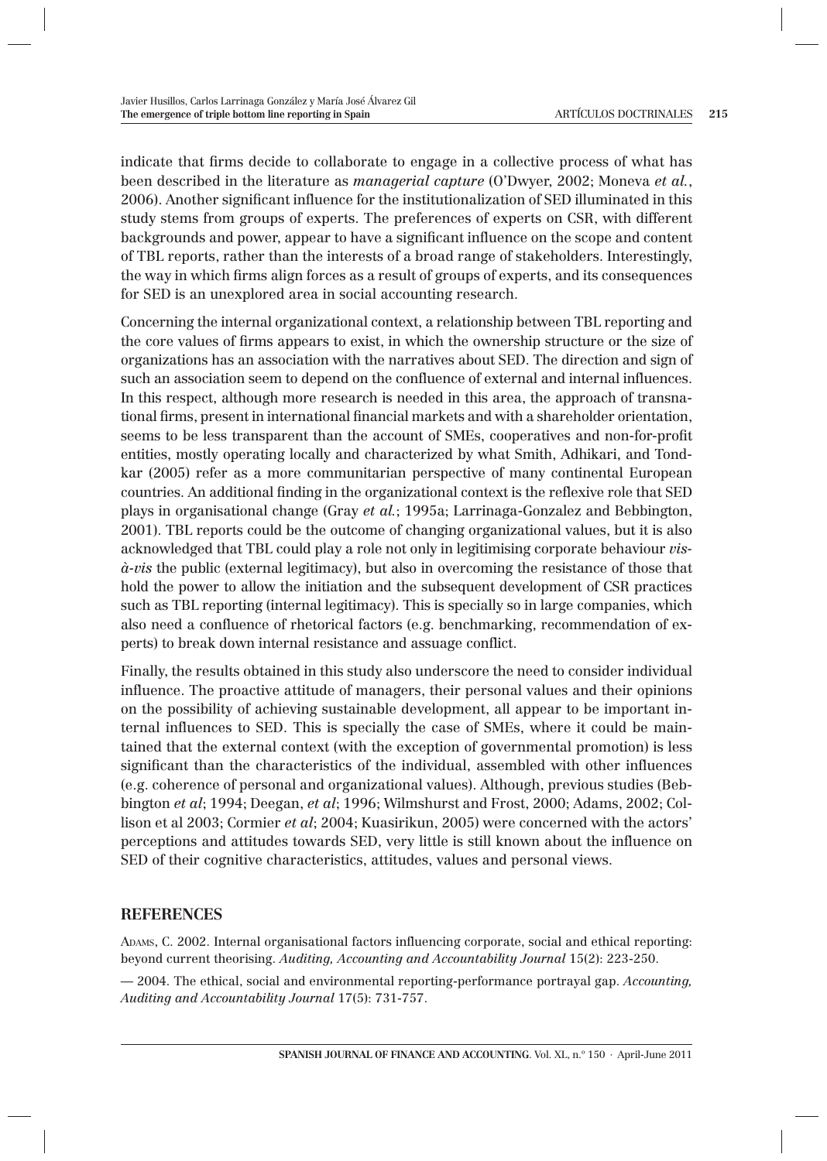indicate that firms decide to collaborate to engage in a collective process of what has been described in the literature as *managerial capture* (O'Dwyer, 2002; Moneva *et al.*, 2006). Another significant influence for the institutionalization of SED illuminated in this study stems from groups of experts. The preferences of experts on CSR, with different backgrounds and power, appear to have a significant influence on the scope and content of TBL reports, rather than the interests of a broad range of stakeholders. Interestingly, the way in which firms align forces as a result of groups of experts, and its consequences for SED is an unexplored area in social accounting research.

Concerning the internal organizational context, a relationship between TBL reporting and the core values of firms appears to exist, in which the ownership structure or the size of organizations has an association with the narratives about SED. The direction and sign of such an association seem to depend on the confluence of external and internal influences. In this respect, although more research is needed in this area, the approach of transnational firms, present in international financial markets and with a shareholder orientation, seems to be less transparent than the account of SMEs, cooperatives and non-for-profit entities, mostly operating locally and characterized by what Smith, Adhikari, and Tondkar (2005) refer as a more communitarian perspective of many continental European countries. An additional finding in the organizational context is the reflexive role that SED plays in organisational change (Gray *et al.*; 1995a; Larrinaga-Gonzalez and Bebbington, 2001). TBL reports could be the outcome of changing organizational values, but it is also acknowledged that TBL could play a role not only in legitimising corporate behaviour *visà-vis* the public (external legitimacy), but also in overcoming the resistance of those that hold the power to allow the initiation and the subsequent development of CSR practices such as TBL reporting (internal legitimacy). This is specially so in large companies, which also need a confluence of rhetorical factors (e.g. benchmarking, recommendation of experts) to break down internal resistance and assuage conflict.

Finally, the results obtained in this study also underscore the need to consider individual influence. The proactive attitude of managers, their personal values and their opinions on the possibility of achieving sustainable development, all appear to be important internal influences to SED. This is specially the case of SMEs, where it could be maintained that the external context (with the exception of governmental promotion) is less significant than the characteristics of the individual, assembled with other influences (e.g. coherence of personal and organizational values). Although, previous studies (Bebbington *et al*; 1994; Deegan, *et al*; 1996; Wilmshurst and Frost, 2000; Adams, 2002; Collison et al 2003; Cormier *et al*; 2004; Kuasirikun, 2005) were concerned with the actors' perceptions and attitudes towards SED, very little is still known about the influence on SED of their cognitive characteristics, attitudes, values and personal views.

# **REFERENCES**

ADAMS, C. 2002. Internal organisational factors influencing corporate, social and ethical reporting: beyond current theorising. *Auditing, Accounting and Accountability Journal* 15(2): 223-250.

— 2004. The ethical, social and environmental reporting-performance portrayal gap. *Accounting, Auditing and Accountability Journal* 17(5): 731-757.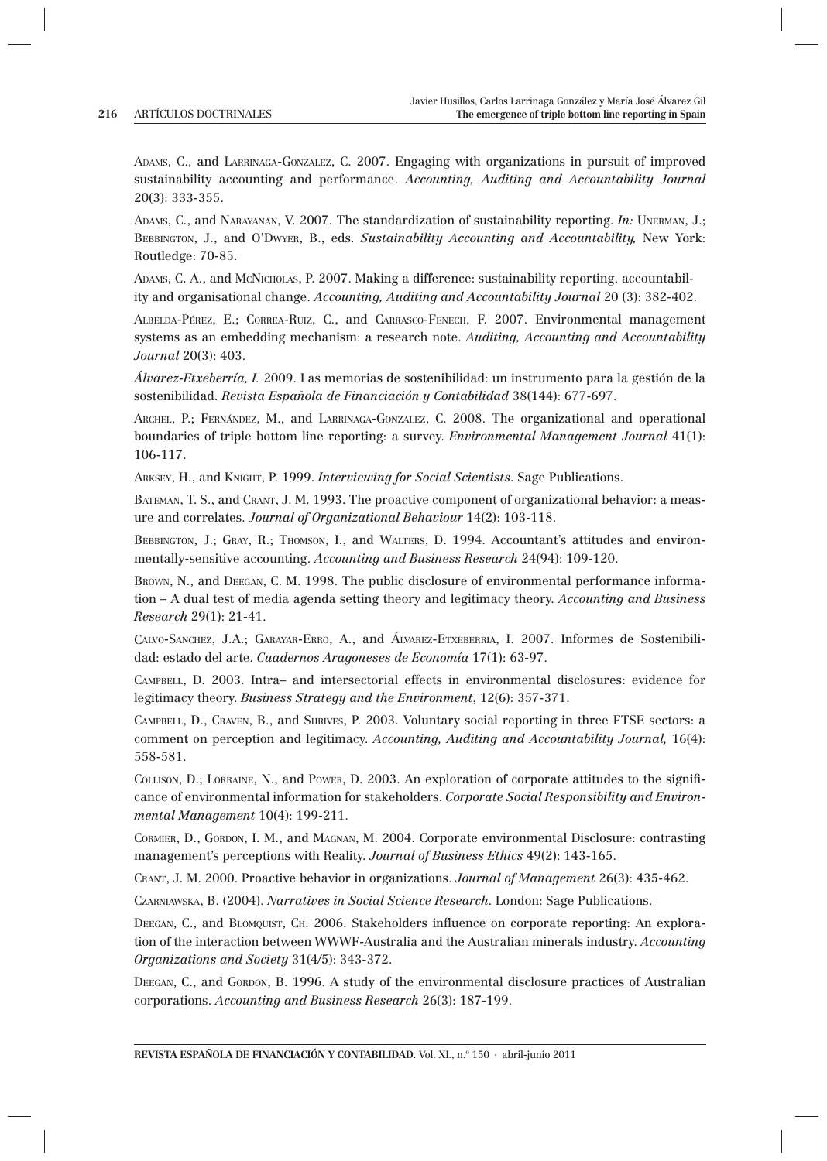ADAMS, C., and LARRINAGA-GONZALEZ, C. 2007. Engaging with organizations in pursuit of improved sustainability accounting and performance. *Accounting, Auditing and Accountability Journal* 20(3): 333-355.

ADAMS, C., and NARAYANAN, V. 2007. The standardization of sustainability reporting. *In:* UNERMAN, J.; BEBBINGTON, J., and O'DWYER, B., eds. *Sustainability Accounting and Accountability,* New York: Routledge: 70-85.

ADAMS, C. A., and MCNICHOLAS, P. 2007. Making a difference: sustainability reporting, accountability and organisational change. *Accounting, Auditing and Accountability Journal* 20 (3): 382-402.

ALBELDA-PÉREZ, E.; CORREA-RUIZ, C., and CARRASCO-FENECH, F. 2007. Environmental management systems as an embedding mechanism: a research note. *Auditing, Accounting and Accountability Journal* 20(3): 403.

*Álvarez-Etxeberría, I.* 2009. Las memorias de sostenibilidad: un instrumento para la gestión de la sostenibilidad. *Revista Española de Financiación y Contabilidad* 38(144): 677-697.

ARCHEL, P.; FERNÁNDEZ, M., and LARRINAGA-GONZALEZ, C. 2008. The organizational and operational boundaries of triple bottom line reporting: a survey. *Environmental Management Journal* 41(1): 106-117.

ARKSEY, H., and KNIGHT, P. 1999. *Interviewing for Social Scientists*. Sage Publications.

BATEMAN, T. S., and CRANT, J. M. 1993. The proactive component of organizational behavior: a measure and correlates. *Journal of Organizational Behaviour* 14(2): 103-118.

BEBBINGTON, J.; GRAY, R.; THOMSON, I., and WALTERS, D. 1994. Accountant's attitudes and environmentally-sensitive accounting. *Accounting and Business Research* 24(94): 109-120.

BROWN, N., and DEEGAN, C. M. 1998. The public disclosure of environmental performance information – A dual test of media agenda setting theory and legitimacy theory. *Accounting and Business Research* 29(1): 21-41.

CALVO-SANCHEZ, J.A.; GARAYAR-ERRO, A., and ÁLVAREZ-ETXEBERRIA, I. 2007. Informes de Sostenibilidad: estado del arte. *Cuadernos Aragoneses de Economía* 17(1): 63-97.

CAMPBELL, D. 2003. Intra– and intersectorial effects in environmental disclosures: evidence for legitimacy theory. *Business Strategy and the Environment*, 12(6): 357-371.

CAMPBELL, D., CRAVEN, B., and SHRIVES, P. 2003. Voluntary social reporting in three FTSE sectors: a comment on perception and legitimacy. *Accounting, Auditing and Accountability Journal,* 16(4): 558-581.

COLLISON, D.; LORRAINE, N., and POWER, D. 2003. An exploration of corporate attitudes to the significance of environmental information for stakeholders. *Corporate Social Responsibility and Environmental Management* 10(4): 199-211.

CORMIER, D., GORDON, I. M., and MAGNAN, M. 2004. Corporate environmental Disclosure: contrasting management's perceptions with Reality. *Journal of Business Ethics* 49(2): 143-165.

CRANT, J. M. 2000. Proactive behavior in organizations. *Journal of Management* 26(3): 435-462.

CZARNIAWSKA, B. (2004). *Narratives in Social Science Research*. London: Sage Publications.

DEEGAN, C., and BLOMQUIST, CH. 2006. Stakeholders influence on corporate reporting: An exploration of the interaction between WWWF-Australia and the Australian minerals industry. *Accounting Organizations and Society* 31(4/5): 343-372.

DEEGAN, C., and GORDON, B. 1996. A study of the environmental disclosure practices of Australian corporations. *Accounting and Business Research* 26(3): 187-199.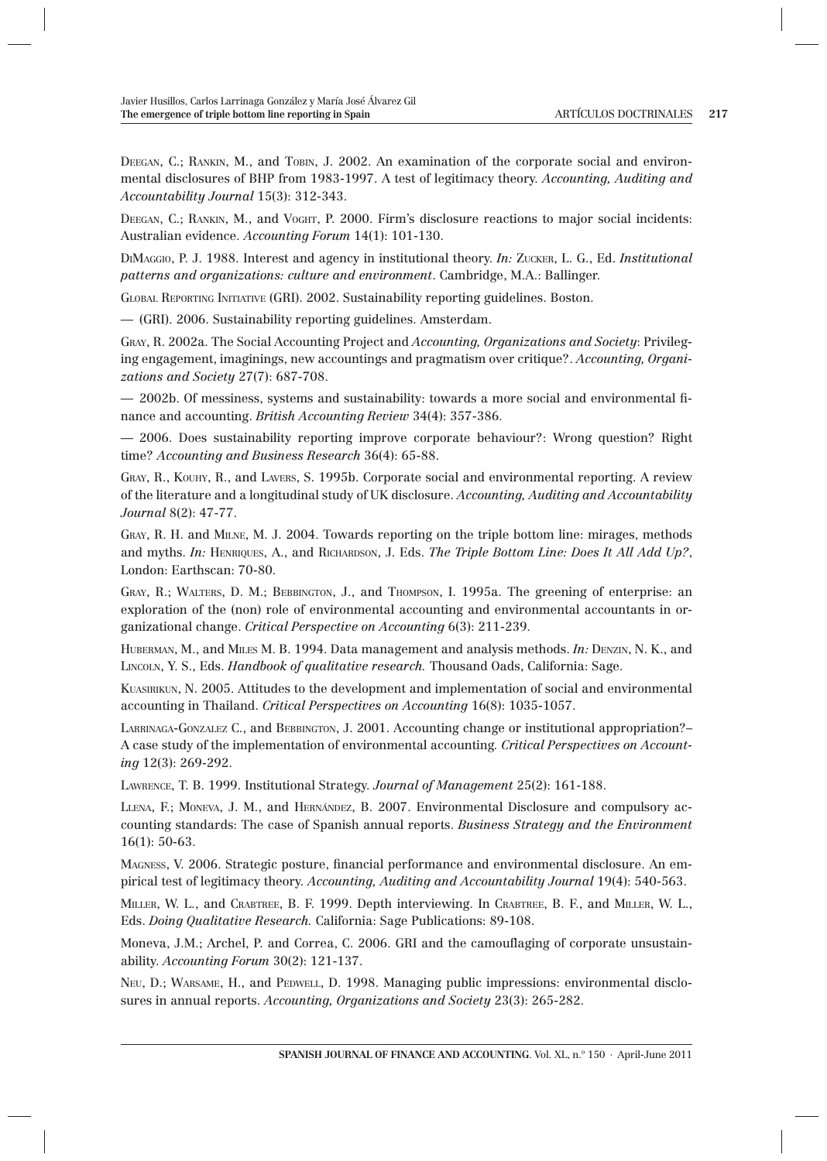DEEGAN, C.; RANKIN, M., and TOBIN, J. 2002. An examination of the corporate social and environmental disclosures of BHP from 1983-1997. A test of legitimacy theory. *Accounting, Auditing and Accountability Journal* 15(3): 312-343.

DEEGAN, C.; RANKIN, M., and VOGHT, P. 2000. Firm's disclosure reactions to major social incidents: Australian evidence. *Accounting Forum* 14(1): 101-130.

DIMAGGIO, P. J. 1988. Interest and agency in institutional theory. *In:* ZUCKER, L. G., Ed. *Institutional patterns and organizations: culture and environment*. Cambridge, M.A.: Ballinger.

GLOBAL REPORTING INITIATIVE (GRI). 2002. Sustainability reporting guidelines. Boston.

— (GRI). 2006. Sustainability reporting guidelines. Amsterdam.

GRAY, R. 2002a. The Social Accounting Project and *Accounting, Organizations and Society*: Privileging engagement, imaginings, new accountings and pragmatism over critique?. *Accounting, Organizations and Society* 27(7): 687-708.

— 2002b. Of messiness, systems and sustainability: towards a more social and environmental fi nance and accounting. *British Accounting Review* 34(4): 357-386.

— 2006. Does sustainability reporting improve corporate behaviour?: Wrong question? Right time? *Accounting and Business Research* 36(4): 65-88.

GRAY, R., KOUHY, R., and LAVERS, S. 1995b. Corporate social and environmental reporting. A review of the literature and a longitudinal study of UK disclosure. *Accounting, Auditing and Accountability Journal* 8(2): 47-77.

GRAY, R. H. and MILNE, M. J. 2004. Towards reporting on the triple bottom line: mirages, methods and myths. *In:* HENRIQUES, A., and RICHARDSON, J. Eds. *The Triple Bottom Line: Does It All Add Up?*, London: Earthscan: 70-80.

GRAY, R.; WALTERS, D. M.; BEBBINGTON, J., and THOMPSON, I. 1995a. The greening of enterprise: an exploration of the (non) role of environmental accounting and environmental accountants in organizational change. *Critical Perspective on Accounting* 6(3): 211-239.

HUBERMAN, M., and MILES M. B. 1994. Data management and analysis methods. *In:* DENZIN, N. K., and LINCOLN, Y. S., Eds. *Handbook of qualitative research.* Thousand Oads, California: Sage.

KUASIRIKUN, N. 2005. Attitudes to the development and implementation of social and environmental accounting in Thailand. *Critical Perspectives on Accounting* 16(8): 1035-1057.

LARRINAGA-GONZALEZ C., and BEBBINGTON, J. 2001. Accounting change or institutional appropriation?– A case study of the implementation of environmental accounting*. Critical Perspectives on Accounting* 12(3): 269-292.

LAWRENCE, T. B. 1999. Institutional Strategy. *Journal of Management* 25(2): 161-188.

LLENA, F.; MONEVA, J. M., and HERNÁNDEZ, B. 2007. Environmental Disclosure and compulsory accounting standards: The case of Spanish annual reports. *Business Strategy and the Environment* 16(1): 50-63.

MAGNESS, V. 2006. Strategic posture, financial performance and environmental disclosure. An empirical test of legitimacy theory. *Accounting, Auditing and Accountability Journal* 19(4): 540-563.

MILLER, W. L., and CRABTREE, B. F. 1999. Depth interviewing. In CRABTREE, B. F., and MILLER, W. L., Eds. *Doing Qualitative Research.* California: Sage Publications: 89-108.

Moneva, J.M.; Archel, P. and Correa, C. 2006. GRI and the camouflaging of corporate unsustainability. *Accounting Forum* 30(2): 121-137.

NEU, D.; WARSAME, H., and PEDWELL, D. 1998. Managing public impressions: environmental disclosures in annual reports. *Accounting, Organizations and Society* 23(3): 265-282.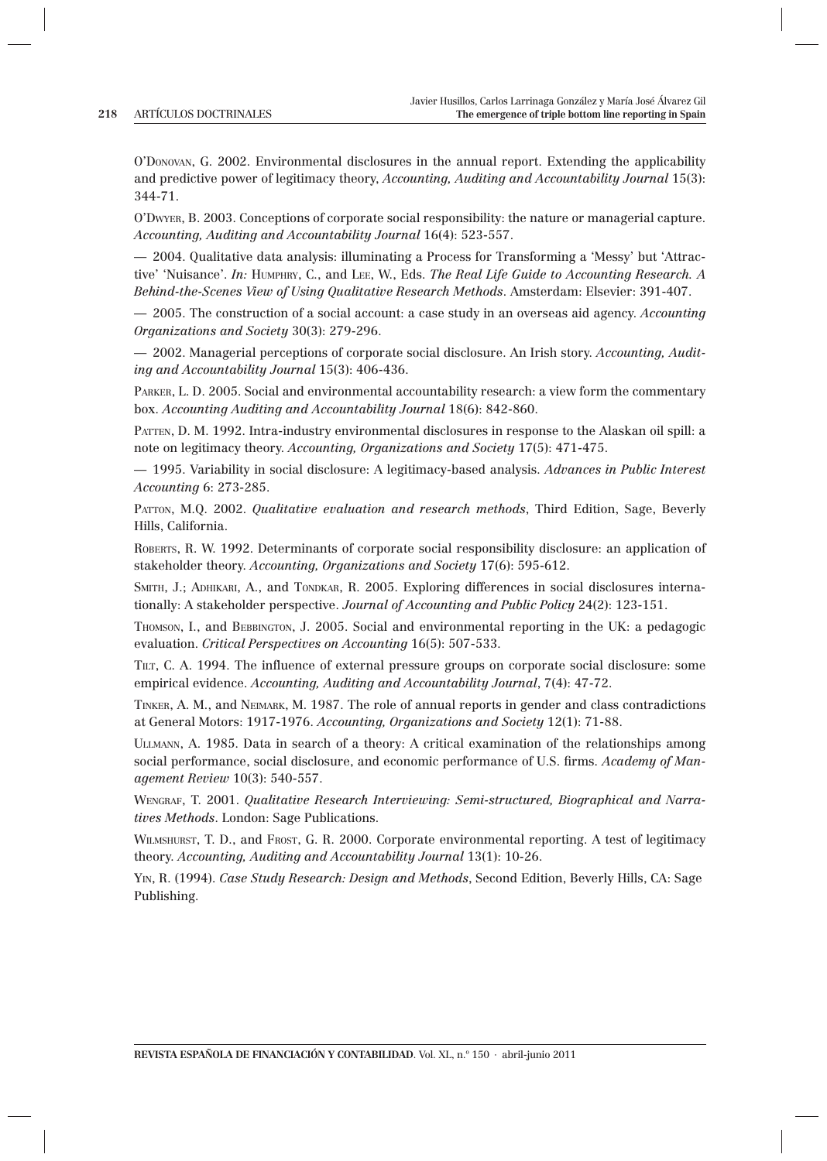O'DONOVAN, G. 2002. Environmental disclosures in the annual report. Extending the applicability and predictive power of legitimacy theory, *Accounting, Auditing and Accountability Journal* 15(3): 344-71.

O'DWYER, B. 2003. Conceptions of corporate social responsibility: the nature or managerial capture. *Accounting, Auditing and Accountability Journal* 16(4): 523-557.

— 2004. Qualitative data analysis: illuminating a Process for Transforming a 'Messy' but 'Attractive' 'Nuisance'. *In:* HUMPHRY, C., and LEE, W., Eds. *The Real Life Guide to Accounting Research. A Behind-the-Scenes View of Using Qualitative Research Methods*. Amsterdam: Elsevier: 391-407.

— 2005. The construction of a social account: a case study in an overseas aid agency. *Accounting Organizations and Society* 30(3): 279-296.

— 2002. Managerial perceptions of corporate social disclosure. An Irish story. *Accounting, Auditing and Accountability Journal* 15(3): 406-436.

PARKER, L. D. 2005. Social and environmental accountability research: a view form the commentary box. *Accounting Auditing and Accountability Journal* 18(6): 842-860.

PATTEN, D. M. 1992. Intra-industry environmental disclosures in response to the Alaskan oil spill: a note on legitimacy theory. *Accounting, Organizations and Society* 17(5): 471-475.

— 1995. Variability in social disclosure: A legitimacy-based analysis. *Advances in Public Interest Accounting* 6: 273-285.

PATTON, M.Q. 2002. *Qualitative evaluation and research methods*, Third Edition, Sage, Beverly Hills, California.

ROBERTS, R. W. 1992. Determinants of corporate social responsibility disclosure: an application of stakeholder theory. *Accounting, Organizations and Society* 17(6): 595-612.

SMITH, J.; ADHIKARI, A., and TONDKAR, R. 2005. Exploring differences in social disclosures internationally: A stakeholder perspective. *Journal of Accounting and Public Policy* 24(2): 123-151.

THOMSON, I., and BEBBINGTON, J. 2005. Social and environmental reporting in the UK: a pedagogic evaluation. *Critical Perspectives on Accounting* 16(5): 507-533.

Tur, C. A. 1994. The influence of external pressure groups on corporate social disclosure: some empirical evidence. *Accounting, Auditing and Accountability Journal*, 7(4): 47-72.

TINKER, A. M., and NEIMARK, M. 1987. The role of annual reports in gender and class contradictions at General Motors: 1917-1976. *Accounting, Organizations and Society* 12(1): 71-88.

ULLMANN, A. 1985. Data in search of a theory: A critical examination of the relationships among social performance, social disclosure, and economic performance of U.S. firms. *Academy of Management Review* 10(3): 540-557.

WENGRAF, T. 2001. *Qualitative Research Interviewing: Semi-structured, Biographical and Narratives Methods*. London: Sage Publications.

WILMSHURST, T. D., and FROST, G. R. 2000. Corporate environmental reporting. A test of legitimacy theory. *Accounting, Auditing and Accountability Journal* 13(1): 10-26.

YIN, R. (1994). *Case Study Research: Design and Methods*, Second Edition, Beverly Hills, CA: Sage Publishing.